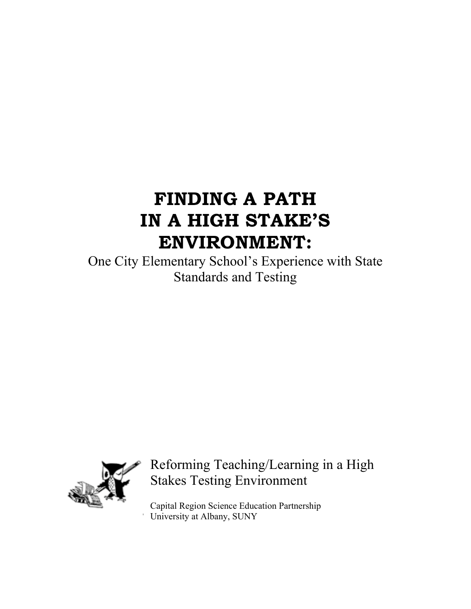# **FINDING A PATH IN A HIGH STAKE'S ENVIRONMENT:**

One City Elementary School's Experience with State Standards and Testing



# Reforming Teaching/Learning in a High Stakes Testing Environment

Capital Region Science Education Partnership University at Albany, SUNY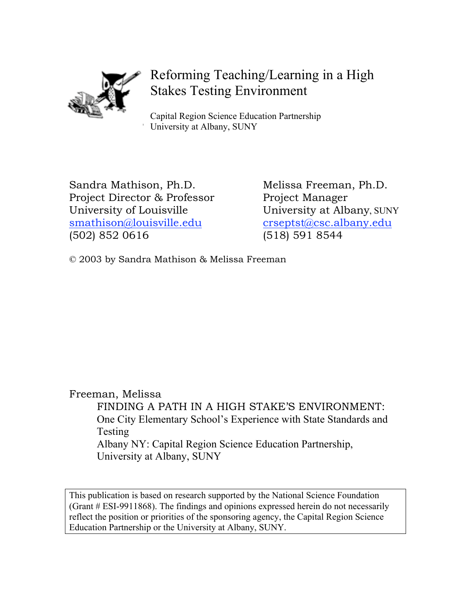

# Reforming Teaching/Learning in a High Stakes Testing Environment

Capital Region Science Education Partnership University at Albany, SUNY

Sandra Mathison, Ph.D. Melissa Freeman, Ph.D. Project Director & Professor Project Manager University of Louisville University at Albany, SUNY smathison@louisville.edu crseptst@csc.albany.edu (502) 852 0616 (518) 591 8544

© 2003 by Sandra Mathison & Melissa Freeman

Freeman, Melissa FINDING A PATH IN A HIGH STAKE'S ENVIRONMENT: One City Elementary School's Experience with State Standards and Testing Albany NY: Capital Region Science Education Partnership, University at Albany, SUNY

This publication is based on research supported by the National Science Foundation (Grant # ESI-9911868). The findings and opinions expressed herein do not necessarily reflect the position or priorities of the sponsoring agency, the Capital Region Science Education Partnership or the University at Albany, SUNY.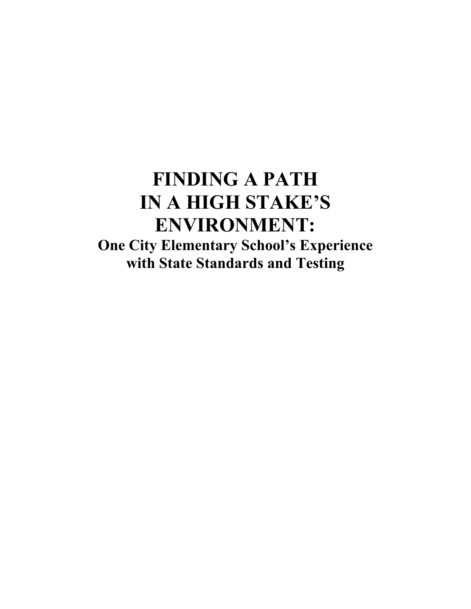# **FINDING A PATH IN A HIGH STAKE'S ENVIRONMENT: One City Elementary School's Experience with State Standards and Testing**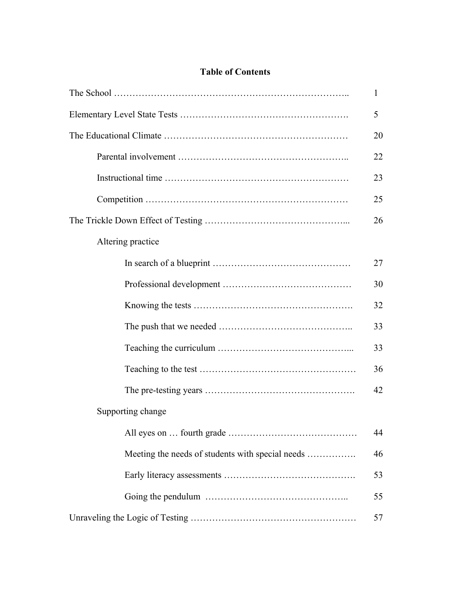# **Table of Contents**

| 5                                                |    |  |  |  |  |
|--------------------------------------------------|----|--|--|--|--|
| 20                                               |    |  |  |  |  |
|                                                  | 22 |  |  |  |  |
|                                                  | 23 |  |  |  |  |
|                                                  | 25 |  |  |  |  |
|                                                  | 26 |  |  |  |  |
| Altering practice                                |    |  |  |  |  |
|                                                  | 27 |  |  |  |  |
|                                                  | 30 |  |  |  |  |
|                                                  | 32 |  |  |  |  |
|                                                  | 33 |  |  |  |  |
|                                                  | 33 |  |  |  |  |
|                                                  | 36 |  |  |  |  |
|                                                  | 42 |  |  |  |  |
| Supporting change                                |    |  |  |  |  |
|                                                  | 44 |  |  |  |  |
| Meeting the needs of students with special needs | 46 |  |  |  |  |
|                                                  | 53 |  |  |  |  |
|                                                  | 55 |  |  |  |  |
|                                                  | 57 |  |  |  |  |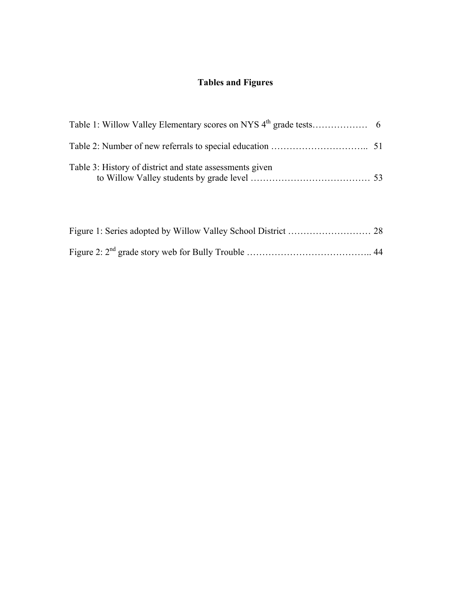# **Tables and Figures**

| Table 3: History of district and state assessments given |  |
|----------------------------------------------------------|--|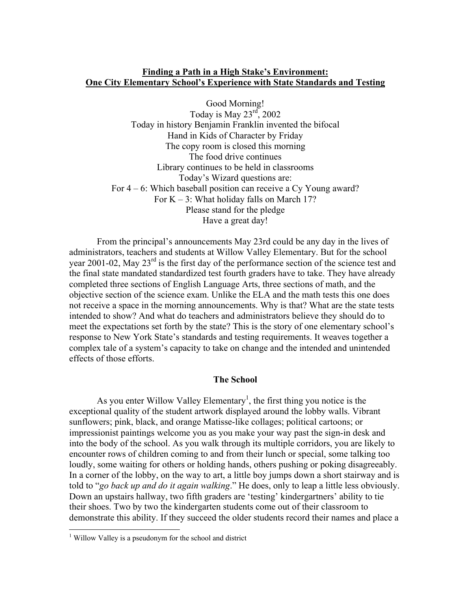# **Finding a Path in a High Stake's Environment: One City Elementary School's Experience with State Standards and Testing**

Good Morning! Today is May  $23<sup>rd</sup>$ , 2002 Today in history Benjamin Franklin invented the bifocal Hand in Kids of Character by Friday The copy room is closed this morning The food drive continues Library continues to be held in classrooms Today's Wizard questions are: For 4 – 6: Which baseball position can receive a Cy Young award? For  $K - 3$ : What holiday falls on March 17? Please stand for the pledge Have a great day!

From the principal's announcements May 23rd could be any day in the lives of administrators, teachers and students at Willow Valley Elementary. But for the school year 2001-02, May 23<sup>rd</sup> is the first day of the performance section of the science test and the final state mandated standardized test fourth graders have to take. They have already completed three sections of English Language Arts, three sections of math, and the objective section of the science exam. Unlike the ELA and the math tests this one does not receive a space in the morning announcements. Why is that? What are the state tests intended to show? And what do teachers and administrators believe they should do to meet the expectations set forth by the state? This is the story of one elementary school's response to New York State's standards and testing requirements. It weaves together a complex tale of a system's capacity to take on change and the intended and unintended effects of those efforts.

# **The School**

As you enter Willow Valley Elementary<sup>1</sup>, the first thing you notice is the exceptional quality of the student artwork displayed around the lobby walls. Vibrant sunflowers; pink, black, and orange Matisse-like collages; political cartoons; or impressionist paintings welcome you as you make your way past the sign-in desk and into the body of the school. As you walk through its multiple corridors, you are likely to encounter rows of children coming to and from their lunch or special, some talking too loudly, some waiting for others or holding hands, others pushing or poking disagreeably. In a corner of the lobby, on the way to art, a little boy jumps down a short stairway and is told to "*go back up and do it again walking*." He does, only to leap a little less obviously. Down an upstairs hallway, two fifth graders are 'testing' kindergartners' ability to tie their shoes. Two by two the kindergarten students come out of their classroom to demonstrate this ability. If they succeed the older students record their names and place a

 $\frac{1}{1}$ <sup>1</sup> Willow Valley is a pseudonym for the school and district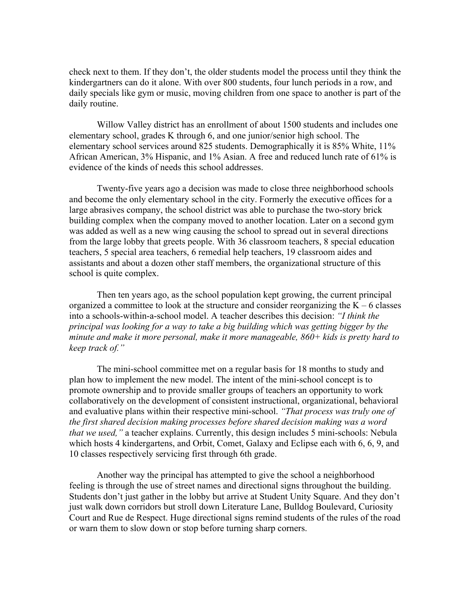check next to them. If they don't, the older students model the process until they think the kindergartners can do it alone. With over 800 students, four lunch periods in a row, and daily specials like gym or music, moving children from one space to another is part of the daily routine.

Willow Valley district has an enrollment of about 1500 students and includes one elementary school, grades K through 6, and one junior/senior high school. The elementary school services around 825 students. Demographically it is 85% White, 11% African American, 3% Hispanic, and 1% Asian. A free and reduced lunch rate of 61% is evidence of the kinds of needs this school addresses.

Twenty-five years ago a decision was made to close three neighborhood schools and become the only elementary school in the city. Formerly the executive offices for a large abrasives company, the school district was able to purchase the two-story brick building complex when the company moved to another location. Later on a second gym was added as well as a new wing causing the school to spread out in several directions from the large lobby that greets people. With 36 classroom teachers, 8 special education teachers, 5 special area teachers, 6 remedial help teachers, 19 classroom aides and assistants and about a dozen other staff members, the organizational structure of this school is quite complex.

Then ten years ago, as the school population kept growing, the current principal organized a committee to look at the structure and consider reorganizing the  $K - 6$  classes into a schools-within-a-school model. A teacher describes this decision: *"I think the principal was looking for a way to take a big building which was getting bigger by the minute and make it more personal, make it more manageable, 860+ kids is pretty hard to keep track of."*

The mini-school committee met on a regular basis for 18 months to study and plan how to implement the new model. The intent of the mini-school concept is to promote ownership and to provide smaller groups of teachers an opportunity to work collaboratively on the development of consistent instructional, organizational, behavioral and evaluative plans within their respective mini-school. *"That process was truly one of the first shared decision making processes before shared decision making was a word that we used,"* a teacher explains. Currently, this design includes 5 mini-schools: Nebula which hosts 4 kindergartens, and Orbit, Comet, Galaxy and Eclipse each with 6, 6, 9, and 10 classes respectively servicing first through 6th grade.

Another way the principal has attempted to give the school a neighborhood feeling is through the use of street names and directional signs throughout the building. Students don't just gather in the lobby but arrive at Student Unity Square. And they don't just walk down corridors but stroll down Literature Lane, Bulldog Boulevard, Curiosity Court and Rue de Respect. Huge directional signs remind students of the rules of the road or warn them to slow down or stop before turning sharp corners.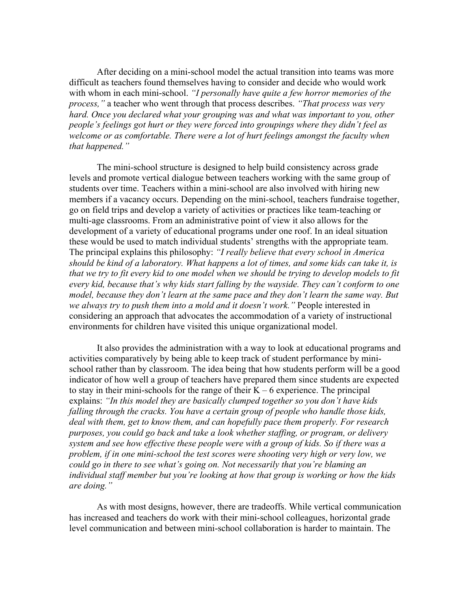After deciding on a mini-school model the actual transition into teams was more difficult as teachers found themselves having to consider and decide who would work with whom in each mini-school. *"I personally have quite a few horror memories of the process,"* a teacher who went through that process describes. *"That process was very hard. Once you declared what your grouping was and what was important to you, other people's feelings got hurt or they were forced into groupings where they didn't feel as welcome or as comfortable. There were a lot of hurt feelings amongst the faculty when that happened."*

The mini-school structure is designed to help build consistency across grade levels and promote vertical dialogue between teachers working with the same group of students over time. Teachers within a mini-school are also involved with hiring new members if a vacancy occurs. Depending on the mini-school, teachers fundraise together, go on field trips and develop a variety of activities or practices like team-teaching or multi-age classrooms. From an administrative point of view it also allows for the development of a variety of educational programs under one roof. In an ideal situation these would be used to match individual students' strengths with the appropriate team. The principal explains this philosophy: *"I really believe that every school in America should be kind of a laboratory. What happens a lot of times, and some kids can take it, is that we try to fit every kid to one model when we should be trying to develop models to fit every kid, because that's why kids start falling by the wayside. They can't conform to one model, because they don't learn at the same pace and they don't learn the same way. But we always try to push them into a mold and it doesn't work."* People interested in considering an approach that advocates the accommodation of a variety of instructional environments for children have visited this unique organizational model.

It also provides the administration with a way to look at educational programs and activities comparatively by being able to keep track of student performance by minischool rather than by classroom. The idea being that how students perform will be a good indicator of how well a group of teachers have prepared them since students are expected to stay in their mini-schools for the range of their  $K - 6$  experience. The principal explains: *"In this model they are basically clumped together so you don't have kids falling through the cracks. You have a certain group of people who handle those kids, deal with them, get to know them, and can hopefully pace them properly. For research purposes, you could go back and take a look whether staffing, or program, or delivery system and see how effective these people were with a group of kids. So if there was a problem, if in one mini-school the test scores were shooting very high or very low, we could go in there to see what's going on. Not necessarily that you're blaming an individual staff member but you're looking at how that group is working or how the kids are doing."*

As with most designs, however, there are tradeoffs. While vertical communication has increased and teachers do work with their mini-school colleagues, horizontal grade level communication and between mini-school collaboration is harder to maintain. The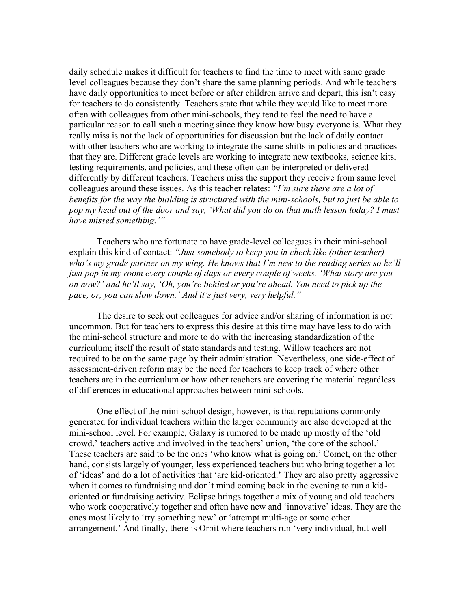daily schedule makes it difficult for teachers to find the time to meet with same grade level colleagues because they don't share the same planning periods. And while teachers have daily opportunities to meet before or after children arrive and depart, this isn't easy for teachers to do consistently. Teachers state that while they would like to meet more often with colleagues from other mini-schools, they tend to feel the need to have a particular reason to call such a meeting since they know how busy everyone is. What they really miss is not the lack of opportunities for discussion but the lack of daily contact with other teachers who are working to integrate the same shifts in policies and practices that they are. Different grade levels are working to integrate new textbooks, science kits, testing requirements, and policies, and these often can be interpreted or delivered differently by different teachers. Teachers miss the support they receive from same level colleagues around these issues. As this teacher relates: *"I'm sure there are a lot of benefits for the way the building is structured with the mini-schools, but to just be able to pop my head out of the door and say, 'What did you do on that math lesson today? I must have missed something.'"*

Teachers who are fortunate to have grade-level colleagues in their mini-school explain this kind of contact: *"Just somebody to keep you in check like (other teacher) who's my grade partner on my wing. He knows that I'm new to the reading series so he'll just pop in my room every couple of days or every couple of weeks. 'What story are you on now?' and he'll say, 'Oh, you're behind or you're ahead. You need to pick up the pace, or, you can slow down.' And it's just very, very helpful."*

The desire to seek out colleagues for advice and/or sharing of information is not uncommon. But for teachers to express this desire at this time may have less to do with the mini-school structure and more to do with the increasing standardization of the curriculum; itself the result of state standards and testing. Willow teachers are not required to be on the same page by their administration. Nevertheless, one side-effect of assessment-driven reform may be the need for teachers to keep track of where other teachers are in the curriculum or how other teachers are covering the material regardless of differences in educational approaches between mini-schools.

One effect of the mini-school design, however, is that reputations commonly generated for individual teachers within the larger community are also developed at the mini-school level. For example, Galaxy is rumored to be made up mostly of the 'old crowd,' teachers active and involved in the teachers' union, 'the core of the school.' These teachers are said to be the ones 'who know what is going on.' Comet, on the other hand, consists largely of younger, less experienced teachers but who bring together a lot of 'ideas' and do a lot of activities that 'are kid-oriented.' They are also pretty aggressive when it comes to fundraising and don't mind coming back in the evening to run a kidoriented or fundraising activity. Eclipse brings together a mix of young and old teachers who work cooperatively together and often have new and 'innovative' ideas. They are the ones most likely to 'try something new' or 'attempt multi-age or some other arrangement.' And finally, there is Orbit where teachers run 'very individual, but well-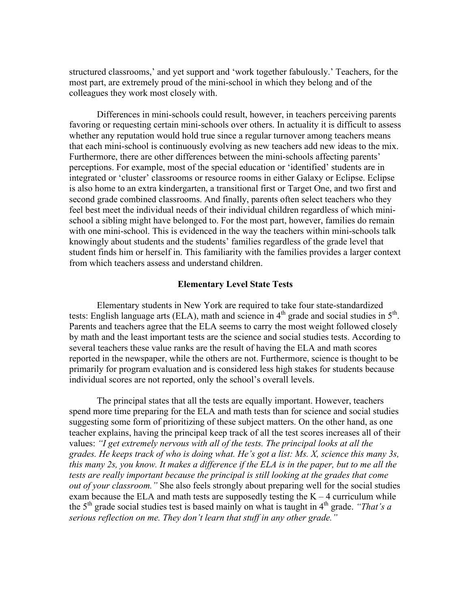structured classrooms,' and yet support and 'work together fabulously.' Teachers, for the most part, are extremely proud of the mini-school in which they belong and of the colleagues they work most closely with.

Differences in mini-schools could result, however, in teachers perceiving parents favoring or requesting certain mini-schools over others. In actuality it is difficult to assess whether any reputation would hold true since a regular turnover among teachers means that each mini-school is continuously evolving as new teachers add new ideas to the mix. Furthermore, there are other differences between the mini-schools affecting parents' perceptions. For example, most of the special education or 'identified' students are in integrated or 'cluster' classrooms or resource rooms in either Galaxy or Eclipse. Eclipse is also home to an extra kindergarten, a transitional first or Target One, and two first and second grade combined classrooms. And finally, parents often select teachers who they feel best meet the individual needs of their individual children regardless of which minischool a sibling might have belonged to. For the most part, however, families do remain with one mini-school. This is evidenced in the way the teachers within mini-schools talk knowingly about students and the students' families regardless of the grade level that student finds him or herself in. This familiarity with the families provides a larger context from which teachers assess and understand children.

# **Elementary Level State Tests**

Elementary students in New York are required to take four state-standardized tests: English language arts (ELA), math and science in  $4<sup>th</sup>$  grade and social studies in  $5<sup>th</sup>$ . Parents and teachers agree that the ELA seems to carry the most weight followed closely by math and the least important tests are the science and social studies tests. According to several teachers these value ranks are the result of having the ELA and math scores reported in the newspaper, while the others are not. Furthermore, science is thought to be primarily for program evaluation and is considered less high stakes for students because individual scores are not reported, only the school's overall levels.

The principal states that all the tests are equally important. However, teachers spend more time preparing for the ELA and math tests than for science and social studies suggesting some form of prioritizing of these subject matters. On the other hand, as one teacher explains, having the principal keep track of all the test scores increases all of their values: *"I get extremely nervous with all of the tests. The principal looks at all the grades. He keeps track of who is doing what. He's got a list: Ms. X, science this many 3s, this many 2s, you know. It makes a difference if the ELA is in the paper, but to me all the tests are really important because the principal is still looking at the grades that come out of your classroom.*" She also feels strongly about preparing well for the social studies exam because the ELA and math tests are supposedly testing the  $K - 4$  curriculum while the  $5<sup>th</sup>$  grade social studies test is based mainly on what is taught in  $4<sup>th</sup>$  grade. *"That's a serious reflection on me. They don't learn that stuff in any other grade."*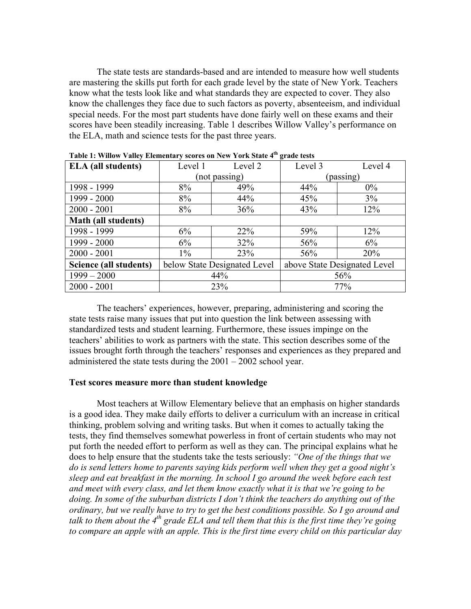The state tests are standards-based and are intended to measure how well students are mastering the skills put forth for each grade level by the state of New York. Teachers know what the tests look like and what standards they are expected to cover. They also know the challenges they face due to such factors as poverty, absenteeism, and individual special needs. For the most part students have done fairly well on these exams and their scores have been steadily increasing. Table 1 describes Willow Valley's performance on the ELA, math and science tests for the past three years.

| <b>ELA</b> (all students)  | Level 1                      | Level 2       | Level 3                      | Level 4 |  |  |
|----------------------------|------------------------------|---------------|------------------------------|---------|--|--|
|                            |                              | (not passing) | (passing)                    |         |  |  |
| 1998 - 1999                | 8%                           | 49%           | 44%                          | $0\%$   |  |  |
| 1999 - 2000                | 8%                           | 44%           | 45%                          | 3%      |  |  |
| $2000 - 2001$              | 8%                           | 36%           | 43%                          | 12%     |  |  |
| <b>Math (all students)</b> |                              |               |                              |         |  |  |
| 1998 - 1999                | 6%                           | 22%           | 59%                          | 12%     |  |  |
| 1999 - 2000                | 6%                           | 32%           | 56%                          | 6%      |  |  |
| $2000 - 2001$              | $1\%$                        | 23%           | 56%                          | 20%     |  |  |
| Science (all students)     | below State Designated Level |               | above State Designated Level |         |  |  |
| $1999 - 2000$              |                              | 44%           | 56%                          |         |  |  |
| $2000 - 2001$              |                              | 23%           | 77%                          |         |  |  |

**Table 1: Willow Valley Elementary scores on New York State 4th grade tests**

The teachers' experiences, however, preparing, administering and scoring the state tests raise many issues that put into question the link between assessing with standardized tests and student learning. Furthermore, these issues impinge on the teachers' abilities to work as partners with the state. This section describes some of the issues brought forth through the teachers' responses and experiences as they prepared and administered the state tests during the 2001 – 2002 school year.

# **Test scores measure more than student knowledge**

Most teachers at Willow Elementary believe that an emphasis on higher standards is a good idea. They make daily efforts to deliver a curriculum with an increase in critical thinking, problem solving and writing tasks. But when it comes to actually taking the tests, they find themselves somewhat powerless in front of certain students who may not put forth the needed effort to perform as well as they can. The principal explains what he does to help ensure that the students take the tests seriously: *"One of the things that we do is send letters home to parents saying kids perform well when they get a good night's sleep and eat breakfast in the morning. In school I go around the week before each test and meet with every class, and let them know exactly what it is that we're going to be doing. In some of the suburban districts I don't think the teachers do anything out of the ordinary, but we really have to try to get the best conditions possible. So I go around and talk to them about the 4th grade ELA and tell them that this is the first time they're going to compare an apple with an apple. This is the first time every child on this particular day*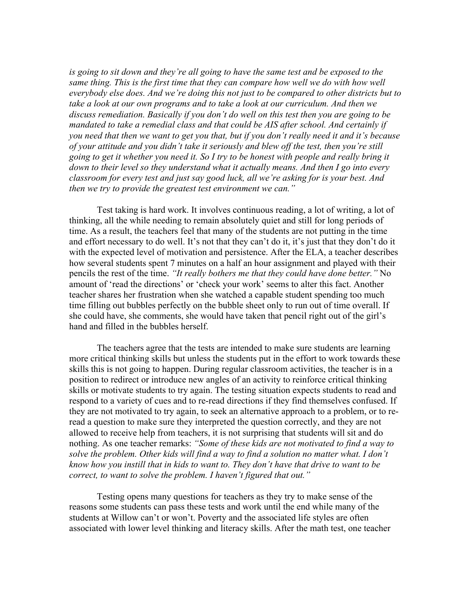*is going to sit down and they're all going to have the same test and be exposed to the same thing. This is the first time that they can compare how well we do with how well everybody else does. And we're doing this not just to be compared to other districts but to take a look at our own programs and to take a look at our curriculum. And then we discuss remediation. Basically if you don't do well on this test then you are going to be mandated to take a remedial class and that could be AIS after school. And certainly if you need that then we want to get you that, but if you don't really need it and it's because of your attitude and you didn't take it seriously and blew off the test, then you're still going to get it whether you need it. So I try to be honest with people and really bring it down to their level so they understand what it actually means. And then I go into every classroom for every test and just say good luck, all we're asking for is your best. And then we try to provide the greatest test environment we can."*

Test taking is hard work. It involves continuous reading, a lot of writing, a lot of thinking, all the while needing to remain absolutely quiet and still for long periods of time. As a result, the teachers feel that many of the students are not putting in the time and effort necessary to do well. It's not that they can't do it, it's just that they don't do it with the expected level of motivation and persistence. After the ELA, a teacher describes how several students spent 7 minutes on a half an hour assignment and played with their pencils the rest of the time. *"It really bothers me that they could have done better."* No amount of 'read the directions' or 'check your work' seems to alter this fact. Another teacher shares her frustration when she watched a capable student spending too much time filling out bubbles perfectly on the bubble sheet only to run out of time overall. If she could have, she comments, she would have taken that pencil right out of the girl's hand and filled in the bubbles herself.

The teachers agree that the tests are intended to make sure students are learning more critical thinking skills but unless the students put in the effort to work towards these skills this is not going to happen. During regular classroom activities, the teacher is in a position to redirect or introduce new angles of an activity to reinforce critical thinking skills or motivate students to try again. The testing situation expects students to read and respond to a variety of cues and to re-read directions if they find themselves confused. If they are not motivated to try again, to seek an alternative approach to a problem, or to reread a question to make sure they interpreted the question correctly, and they are not allowed to receive help from teachers, it is not surprising that students will sit and do nothing. As one teacher remarks: *"Some of these kids are not motivated to find a way to solve the problem. Other kids will find a way to find a solution no matter what. I don't know how you instill that in kids to want to. They don't have that drive to want to be correct, to want to solve the problem. I haven't figured that out."*

Testing opens many questions for teachers as they try to make sense of the reasons some students can pass these tests and work until the end while many of the students at Willow can't or won't. Poverty and the associated life styles are often associated with lower level thinking and literacy skills. After the math test, one teacher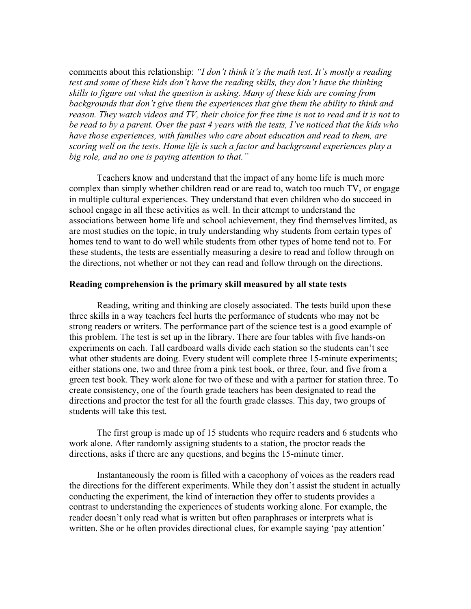comments about this relationship: *"I don't think it's the math test. It's mostly a reading test and some of these kids don't have the reading skills, they don't have the thinking skills to figure out what the question is asking. Many of these kids are coming from backgrounds that don't give them the experiences that give them the ability to think and reason. They watch videos and TV, their choice for free time is not to read and it is not to be read to by a parent. Over the past 4 years with the tests, I've noticed that the kids who have those experiences, with families who care about education and read to them, are scoring well on the tests. Home life is such a factor and background experiences play a big role, and no one is paying attention to that."*

Teachers know and understand that the impact of any home life is much more complex than simply whether children read or are read to, watch too much TV, or engage in multiple cultural experiences. They understand that even children who do succeed in school engage in all these activities as well. In their attempt to understand the associations between home life and school achievement, they find themselves limited, as are most studies on the topic, in truly understanding why students from certain types of homes tend to want to do well while students from other types of home tend not to. For these students, the tests are essentially measuring a desire to read and follow through on the directions, not whether or not they can read and follow through on the directions.

## **Reading comprehension is the primary skill measured by all state tests**

Reading, writing and thinking are closely associated. The tests build upon these three skills in a way teachers feel hurts the performance of students who may not be strong readers or writers. The performance part of the science test is a good example of this problem. The test is set up in the library. There are four tables with five hands-on experiments on each. Tall cardboard walls divide each station so the students can't see what other students are doing. Every student will complete three 15-minute experiments; either stations one, two and three from a pink test book, or three, four, and five from a green test book. They work alone for two of these and with a partner for station three. To create consistency, one of the fourth grade teachers has been designated to read the directions and proctor the test for all the fourth grade classes. This day, two groups of students will take this test.

The first group is made up of 15 students who require readers and 6 students who work alone. After randomly assigning students to a station, the proctor reads the directions, asks if there are any questions, and begins the 15-minute timer.

Instantaneously the room is filled with a cacophony of voices as the readers read the directions for the different experiments. While they don't assist the student in actually conducting the experiment, the kind of interaction they offer to students provides a contrast to understanding the experiences of students working alone. For example, the reader doesn't only read what is written but often paraphrases or interprets what is written. She or he often provides directional clues, for example saying 'pay attention'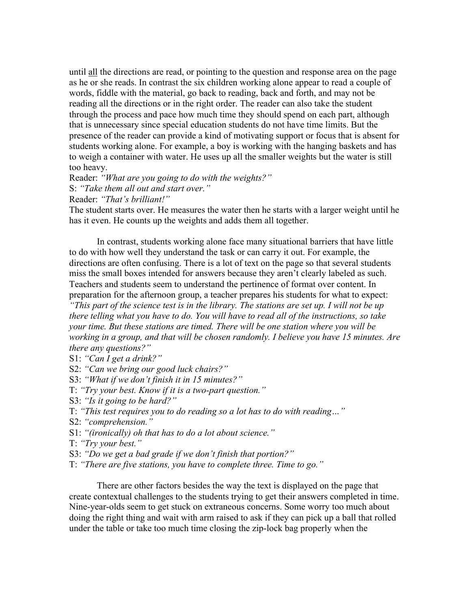until all the directions are read, or pointing to the question and response area on the page as he or she reads. In contrast the six children working alone appear to read a couple of words, fiddle with the material, go back to reading, back and forth, and may not be reading all the directions or in the right order. The reader can also take the student through the process and pace how much time they should spend on each part, although that is unnecessary since special education students do not have time limits. But the presence of the reader can provide a kind of motivating support or focus that is absent for students working alone. For example, a boy is working with the hanging baskets and has to weigh a container with water. He uses up all the smaller weights but the water is still too heavy.

Reader: *"What are you going to do with the weights?"* S: *"Take them all out and start over."*

Reader: *"That's brilliant!"*

The student starts over. He measures the water then he starts with a larger weight until he has it even. He counts up the weights and adds them all together.

In contrast, students working alone face many situational barriers that have little to do with how well they understand the task or can carry it out. For example, the directions are often confusing. There is a lot of text on the page so that several students miss the small boxes intended for answers because they aren't clearly labeled as such. Teachers and students seem to understand the pertinence of format over content. In preparation for the afternoon group, a teacher prepares his students for what to expect:

*"This part of the science test is in the library. The stations are set up. I will not be up there telling what you have to do. You will have to read all of the instructions, so take your time. But these stations are timed. There will be one station where you will be working in a group, and that will be chosen randomly. I believe you have 15 minutes. Are there any questions?"*

- S1: *"Can I get a drink?"*
- S2: *"Can we bring our good luck chairs?"*
- S3: *"What if we don't finish it in 15 minutes?"*
- T: *"Try your best. Know if it is a two-part question."*
- S3: *"Is it going to be hard?"*
- T: *"This test requires you to do reading so a lot has to do with reading…"*
- S2: *"comprehension."*
- S1: *"(ironically) oh that has to do a lot about science."*
- T: *"Try your best."*
- S3: *"Do we get a bad grade if we don't finish that portion?"*
- T: *"There are five stations, you have to complete three. Time to go."*

There are other factors besides the way the text is displayed on the page that create contextual challenges to the students trying to get their answers completed in time. Nine-year-olds seem to get stuck on extraneous concerns. Some worry too much about doing the right thing and wait with arm raised to ask if they can pick up a ball that rolled under the table or take too much time closing the zip-lock bag properly when the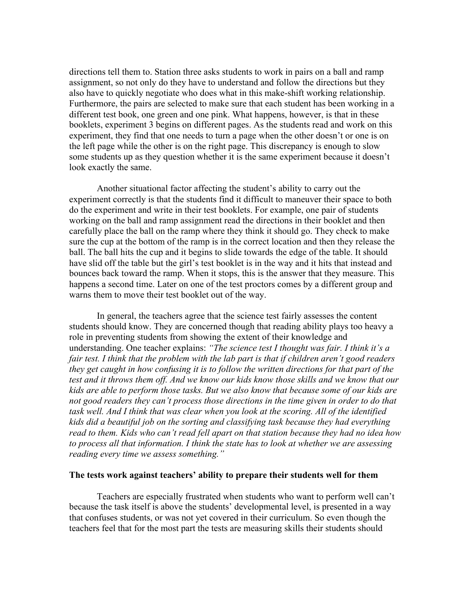directions tell them to. Station three asks students to work in pairs on a ball and ramp assignment, so not only do they have to understand and follow the directions but they also have to quickly negotiate who does what in this make-shift working relationship. Furthermore, the pairs are selected to make sure that each student has been working in a different test book, one green and one pink. What happens, however, is that in these booklets, experiment 3 begins on different pages. As the students read and work on this experiment, they find that one needs to turn a page when the other doesn't or one is on the left page while the other is on the right page. This discrepancy is enough to slow some students up as they question whether it is the same experiment because it doesn't look exactly the same.

Another situational factor affecting the student's ability to carry out the experiment correctly is that the students find it difficult to maneuver their space to both do the experiment and write in their test booklets. For example, one pair of students working on the ball and ramp assignment read the directions in their booklet and then carefully place the ball on the ramp where they think it should go. They check to make sure the cup at the bottom of the ramp is in the correct location and then they release the ball. The ball hits the cup and it begins to slide towards the edge of the table. It should have slid off the table but the girl's test booklet is in the way and it hits that instead and bounces back toward the ramp. When it stops, this is the answer that they measure. This happens a second time. Later on one of the test proctors comes by a different group and warns them to move their test booklet out of the way.

In general, the teachers agree that the science test fairly assesses the content students should know. They are concerned though that reading ability plays too heavy a role in preventing students from showing the extent of their knowledge and understanding. One teacher explains: *"The science test I thought was fair. I think it's a fair test. I think that the problem with the lab part is that if children aren't good readers they get caught in how confusing it is to follow the written directions for that part of the test and it throws them off. And we know our kids know those skills and we know that our kids are able to perform those tasks. But we also know that because some of our kids are not good readers they can't process those directions in the time given in order to do that task well. And I think that was clear when you look at the scoring. All of the identified kids did a beautiful job on the sorting and classifying task because they had everything read to them. Kids who can't read fell apart on that station because they had no idea how to process all that information. I think the state has to look at whether we are assessing reading every time we assess something."*

#### **The tests work against teachers' ability to prepare their students well for them**

Teachers are especially frustrated when students who want to perform well can't because the task itself is above the students' developmental level, is presented in a way that confuses students, or was not yet covered in their curriculum. So even though the teachers feel that for the most part the tests are measuring skills their students should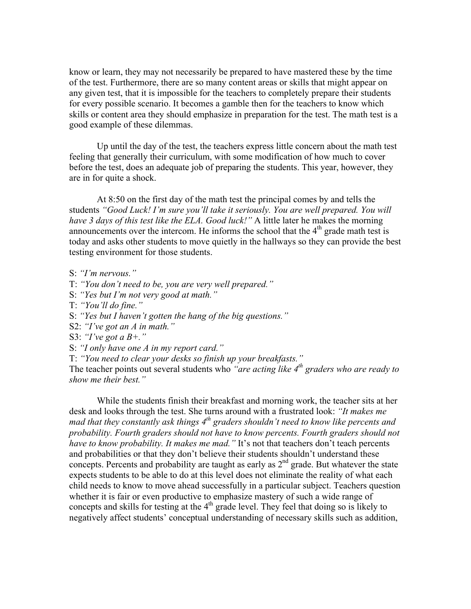know or learn, they may not necessarily be prepared to have mastered these by the time of the test. Furthermore, there are so many content areas or skills that might appear on any given test, that it is impossible for the teachers to completely prepare their students for every possible scenario. It becomes a gamble then for the teachers to know which skills or content area they should emphasize in preparation for the test. The math test is a good example of these dilemmas.

Up until the day of the test, the teachers express little concern about the math test feeling that generally their curriculum, with some modification of how much to cover before the test, does an adequate job of preparing the students. This year, however, they are in for quite a shock.

At 8:50 on the first day of the math test the principal comes by and tells the students *"Good Luck! I'm sure you'll take it seriously. You are well prepared. You will have 3 days of this test like the ELA. Good luck!"* A little later he makes the morning announcements over the intercom. He informs the school that the  $4<sup>th</sup>$  grade math test is today and asks other students to move quietly in the hallways so they can provide the best testing environment for those students.

- S: *"I'm nervous."*
- T: *"You don't need to be, you are very well prepared."*
- S: *"Yes but I'm not very good at math."*
- T: *"You'll do fine."*
- S: *"Yes but I haven't gotten the hang of the big questions."*
- S2: *"I've got an A in math."*
- S3: *"I've got a B+."*
- S: *"I only have one A in my report card."*

T: *"You need to clear your desks so finish up your breakfasts."*

The teacher points out several students who *"are acting like 4th graders who are ready to show me their best."*

While the students finish their breakfast and morning work, the teacher sits at her desk and looks through the test. She turns around with a frustrated look: *"It makes me mad that they constantly ask things 4th graders shouldn't need to know like percents and probability. Fourth graders should not have to know percents. Fourth graders should not have to know probability. It makes me mad."* It's not that teachers don't teach percents and probabilities or that they don't believe their students shouldn't understand these concepts. Percents and probability are taught as early as 2<sup>nd</sup> grade. But whatever the state expects students to be able to do at this level does not eliminate the reality of what each child needs to know to move ahead successfully in a particular subject. Teachers question whether it is fair or even productive to emphasize mastery of such a wide range of concepts and skills for testing at the  $4<sup>th</sup>$  grade level. They feel that doing so is likely to negatively affect students' conceptual understanding of necessary skills such as addition,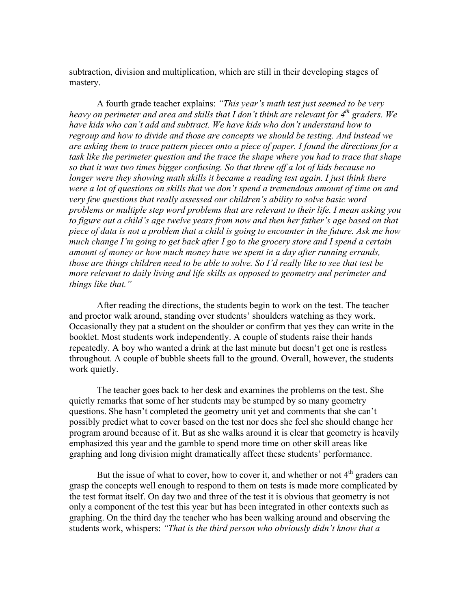subtraction, division and multiplication, which are still in their developing stages of mastery.

A fourth grade teacher explains: *"This year's math test just seemed to be very heavy on perimeter and area and skills that I don't think are relevant for 4<sup>th</sup> graders. We have kids who can't add and subtract. We have kids who don't understand how to regroup and how to divide and those are concepts we should be testing. And instead we are asking them to trace pattern pieces onto a piece of paper. I found the directions for a task like the perimeter question and the trace the shape where you had to trace that shape so that it was two times bigger confusing. So that threw off a lot of kids because no longer were they showing math skills it became a reading test again. I just think there were a lot of questions on skills that we don't spend a tremendous amount of time on and very few questions that really assessed our children's ability to solve basic word problems or multiple step word problems that are relevant to their life. I mean asking you to figure out a child's age twelve years from now and then her father's age based on that piece of data is not a problem that a child is going to encounter in the future. Ask me how much change I'm going to get back after I go to the grocery store and I spend a certain amount of money or how much money have we spent in a day after running errands, those are things children need to be able to solve. So I'd really like to see that test be more relevant to daily living and life skills as opposed to geometry and perimeter and things like that."*

After reading the directions, the students begin to work on the test. The teacher and proctor walk around, standing over students' shoulders watching as they work. Occasionally they pat a student on the shoulder or confirm that yes they can write in the booklet. Most students work independently. A couple of students raise their hands repeatedly. A boy who wanted a drink at the last minute but doesn't get one is restless throughout. A couple of bubble sheets fall to the ground. Overall, however, the students work quietly.

The teacher goes back to her desk and examines the problems on the test. She quietly remarks that some of her students may be stumped by so many geometry questions. She hasn't completed the geometry unit yet and comments that she can't possibly predict what to cover based on the test nor does she feel she should change her program around because of it. But as she walks around it is clear that geometry is heavily emphasized this year and the gamble to spend more time on other skill areas like graphing and long division might dramatically affect these students' performance.

But the issue of what to cover, how to cover it, and whether or not  $4<sup>th</sup>$  graders can grasp the concepts well enough to respond to them on tests is made more complicated by the test format itself. On day two and three of the test it is obvious that geometry is not only a component of the test this year but has been integrated in other contexts such as graphing. On the third day the teacher who has been walking around and observing the students work, whispers: *"That is the third person who obviously didn't know that a*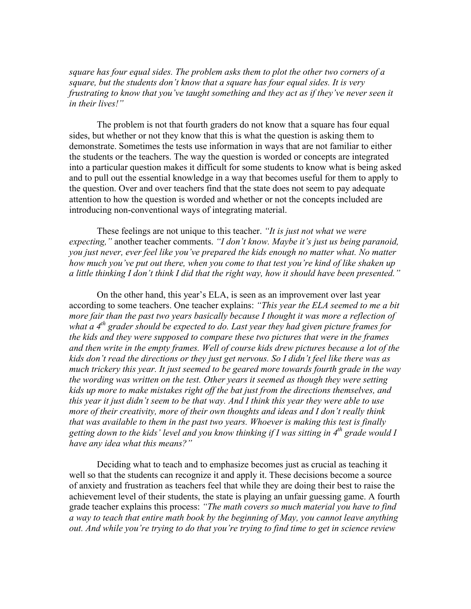*square has four equal sides. The problem asks them to plot the other two corners of a square, but the students don't know that a square has four equal sides. It is very frustrating to know that you've taught something and they act as if they've never seen it in their lives!"*

The problem is not that fourth graders do not know that a square has four equal sides, but whether or not they know that this is what the question is asking them to demonstrate. Sometimes the tests use information in ways that are not familiar to either the students or the teachers. The way the question is worded or concepts are integrated into a particular question makes it difficult for some students to know what is being asked and to pull out the essential knowledge in a way that becomes useful for them to apply to the question. Over and over teachers find that the state does not seem to pay adequate attention to how the question is worded and whether or not the concepts included are introducing non-conventional ways of integrating material.

These feelings are not unique to this teacher. *"It is just not what we were expecting,"* another teacher comments. *"I don't know. Maybe it's just us being paranoid, you just never, ever feel like you've prepared the kids enough no matter what. No matter how much you've put out there, when you come to that test you're kind of like shaken up a little thinking I don't think I did that the right way, how it should have been presented."*

On the other hand, this year's ELA, is seen as an improvement over last year according to some teachers. One teacher explains: *"This year the ELA seemed to me a bit more fair than the past two years basically because I thought it was more a reflection of what a 4th grader should be expected to do. Last year they had given picture frames for the kids and they were supposed to compare these two pictures that were in the frames and then write in the empty frames. Well of course kids drew pictures because a lot of the kids don't read the directions or they just get nervous. So I didn't feel like there was as much trickery this year. It just seemed to be geared more towards fourth grade in the way the wording was written on the test. Other years it seemed as though they were setting kids up more to make mistakes right off the bat just from the directions themselves, and this year it just didn't seem to be that way. And I think this year they were able to use more of their creativity, more of their own thoughts and ideas and I don't really think that was available to them in the past two years. Whoever is making this test is finally* getting down to the kids' level and you know thinking if I was sitting in 4<sup>th</sup> grade would I *have any idea what this means?"*

Deciding what to teach and to emphasize becomes just as crucial as teaching it well so that the students can recognize it and apply it. These decisions become a source of anxiety and frustration as teachers feel that while they are doing their best to raise the achievement level of their students, the state is playing an unfair guessing game. A fourth grade teacher explains this process: *"The math covers so much material you have to find a way to teach that entire math book by the beginning of May, you cannot leave anything out. And while you're trying to do that you're trying to find time to get in science review*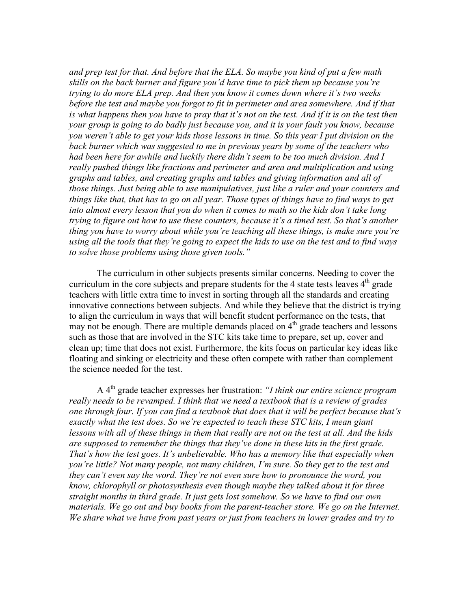*and prep test for that. And before that the ELA. So maybe you kind of put a few math skills on the back burner and figure you'd have time to pick them up because you're trying to do more ELA prep. And then you know it comes down where it's two weeks before the test and maybe you forgot to fit in perimeter and area somewhere. And if that is what happens then you have to pray that it's not on the test. And if it is on the test then your group is going to do badly just because you, and it is your fault you know, because you weren't able to get your kids those lessons in time. So this year I put division on the back burner which was suggested to me in previous years by some of the teachers who had been here for awhile and luckily there didn't seem to be too much division. And I really pushed things like fractions and perimeter and area and multiplication and using graphs and tables, and creating graphs and tables and giving information and all of those things. Just being able to use manipulatives, just like a ruler and your counters and things like that, that has to go on all year. Those types of things have to find ways to get into almost every lesson that you do when it comes to math so the kids don't take long trying to figure out how to use these counters, because it's a timed test. So that's another thing you have to worry about while you're teaching all these things, is make sure you're using all the tools that they're going to expect the kids to use on the test and to find ways to solve those problems using those given tools."*

The curriculum in other subjects presents similar concerns. Needing to cover the curriculum in the core subjects and prepare students for the 4 state tests leaves  $4<sup>th</sup>$  grade teachers with little extra time to invest in sorting through all the standards and creating innovative connections between subjects. And while they believe that the district is trying to align the curriculum in ways that will benefit student performance on the tests, that may not be enough. There are multiple demands placed on  $4<sup>th</sup>$  grade teachers and lessons such as those that are involved in the STC kits take time to prepare, set up, cover and clean up; time that does not exist. Furthermore, the kits focus on particular key ideas like floating and sinking or electricity and these often compete with rather than complement the science needed for the test.

A 4th grade teacher expresses her frustration: *"I think our entire science program really needs to be revamped. I think that we need a textbook that is a review of grades one through four. If you can find a textbook that does that it will be perfect because that's exactly what the test does. So we're expected to teach these STC kits, I mean giant lessons with all of these things in them that really are not on the test at all. And the kids are supposed to remember the things that they've done in these kits in the first grade. That's how the test goes. It's unbelievable. Who has a memory like that especially when you're little? Not many people, not many children, I'm sure. So they get to the test and they can't even say the word. They're not even sure how to pronounce the word, you know, chlorophyll or photosynthesis even though maybe they talked about it for three straight months in third grade. It just gets lost somehow. So we have to find our own materials. We go out and buy books from the parent-teacher store. We go on the Internet. We share what we have from past years or just from teachers in lower grades and try to*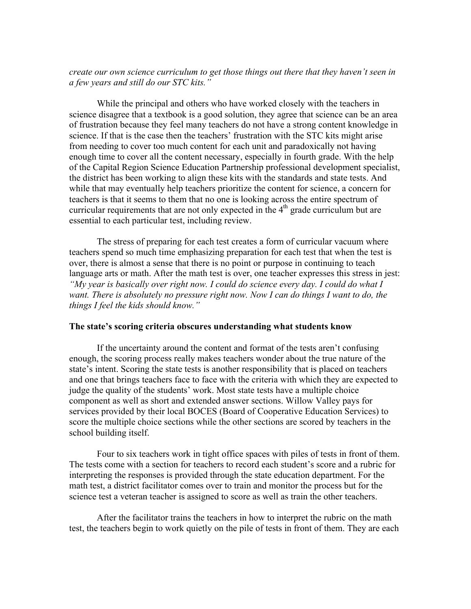*create our own science curriculum to get those things out there that they haven't seen in a few years and still do our STC kits."*

While the principal and others who have worked closely with the teachers in science disagree that a textbook is a good solution, they agree that science can be an area of frustration because they feel many teachers do not have a strong content knowledge in science. If that is the case then the teachers' frustration with the STC kits might arise from needing to cover too much content for each unit and paradoxically not having enough time to cover all the content necessary, especially in fourth grade. With the help of the Capital Region Science Education Partnership professional development specialist, the district has been working to align these kits with the standards and state tests. And while that may eventually help teachers prioritize the content for science, a concern for teachers is that it seems to them that no one is looking across the entire spectrum of curricular requirements that are not only expected in the  $4<sup>th</sup>$  grade curriculum but are essential to each particular test, including review.

The stress of preparing for each test creates a form of curricular vacuum where teachers spend so much time emphasizing preparation for each test that when the test is over, there is almost a sense that there is no point or purpose in continuing to teach language arts or math. After the math test is over, one teacher expresses this stress in jest: *"My year is basically over right now. I could do science every day. I could do what I want. There is absolutely no pressure right now. Now I can do things I want to do, the things I feel the kids should know."*

## **The state's scoring criteria obscures understanding what students know**

If the uncertainty around the content and format of the tests aren't confusing enough, the scoring process really makes teachers wonder about the true nature of the state's intent. Scoring the state tests is another responsibility that is placed on teachers and one that brings teachers face to face with the criteria with which they are expected to judge the quality of the students' work. Most state tests have a multiple choice component as well as short and extended answer sections. Willow Valley pays for services provided by their local BOCES (Board of Cooperative Education Services) to score the multiple choice sections while the other sections are scored by teachers in the school building itself.

Four to six teachers work in tight office spaces with piles of tests in front of them. The tests come with a section for teachers to record each student's score and a rubric for interpreting the responses is provided through the state education department. For the math test, a district facilitator comes over to train and monitor the process but for the science test a veteran teacher is assigned to score as well as train the other teachers.

After the facilitator trains the teachers in how to interpret the rubric on the math test, the teachers begin to work quietly on the pile of tests in front of them. They are each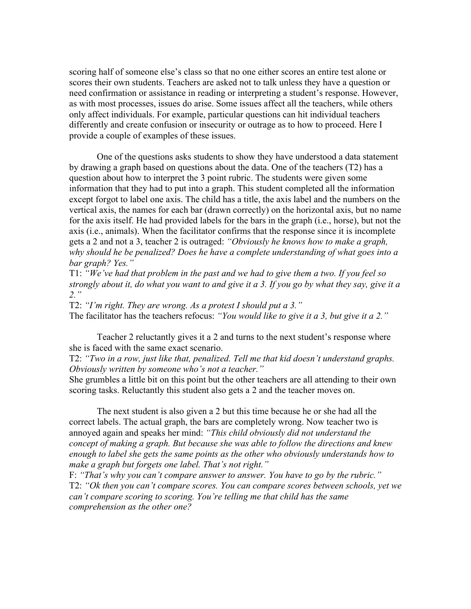scoring half of someone else's class so that no one either scores an entire test alone or scores their own students. Teachers are asked not to talk unless they have a question or need confirmation or assistance in reading or interpreting a student's response. However, as with most processes, issues do arise. Some issues affect all the teachers, while others only affect individuals. For example, particular questions can hit individual teachers differently and create confusion or insecurity or outrage as to how to proceed. Here I provide a couple of examples of these issues.

One of the questions asks students to show they have understood a data statement by drawing a graph based on questions about the data. One of the teachers (T2) has a question about how to interpret the 3 point rubric. The students were given some information that they had to put into a graph. This student completed all the information except forgot to label one axis. The child has a title, the axis label and the numbers on the vertical axis, the names for each bar (drawn correctly) on the horizontal axis, but no name for the axis itself. He had provided labels for the bars in the graph (i.e., horse), but not the axis (i.e., animals). When the facilitator confirms that the response since it is incomplete gets a 2 and not a 3, teacher 2 is outraged: *"Obviously he knows how to make a graph, why should he be penalized? Does he have a complete understanding of what goes into a bar graph? Yes."*

T1: *"We've had that problem in the past and we had to give them a two. If you feel so strongly about it, do what you want to and give it a 3. If you go by what they say, give it a 2."*

T2: *"I'm right. They are wrong. As a protest I should put a 3."* The facilitator has the teachers refocus: *"You would like to give it a 3, but give it a 2."*

Teacher 2 reluctantly gives it a 2 and turns to the next student's response where she is faced with the same exact scenario.

T2: *"Two in a row, just like that, penalized. Tell me that kid doesn't understand graphs. Obviously written by someone who's not a teacher."*

She grumbles a little bit on this point but the other teachers are all attending to their own scoring tasks. Reluctantly this student also gets a 2 and the teacher moves on.

The next student is also given a 2 but this time because he or she had all the correct labels. The actual graph, the bars are completely wrong. Now teacher two is annoyed again and speaks her mind: *"This child obviously did not understand the concept of making a graph. But because she was able to follow the directions and knew enough to label she gets the same points as the other who obviously understands how to make a graph but forgets one label. That's not right."*

F: *"That's why you can't compare answer to answer. You have to go by the rubric."* T2: *"Ok then you can't compare scores. You can compare scores between schools, yet we can't compare scoring to scoring. You're telling me that child has the same comprehension as the other one?*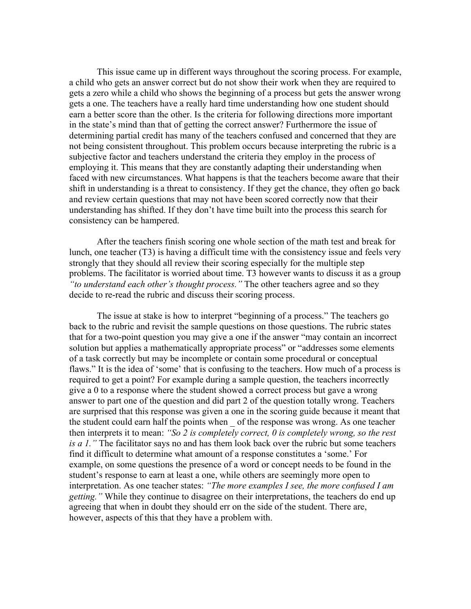This issue came up in different ways throughout the scoring process. For example, a child who gets an answer correct but do not show their work when they are required to gets a zero while a child who shows the beginning of a process but gets the answer wrong gets a one. The teachers have a really hard time understanding how one student should earn a better score than the other. Is the criteria for following directions more important in the state's mind than that of getting the correct answer? Furthermore the issue of determining partial credit has many of the teachers confused and concerned that they are not being consistent throughout. This problem occurs because interpreting the rubric is a subjective factor and teachers understand the criteria they employ in the process of employing it. This means that they are constantly adapting their understanding when faced with new circumstances. What happens is that the teachers become aware that their shift in understanding is a threat to consistency. If they get the chance, they often go back and review certain questions that may not have been scored correctly now that their understanding has shifted. If they don't have time built into the process this search for consistency can be hampered.

After the teachers finish scoring one whole section of the math test and break for lunch, one teacher (T3) is having a difficult time with the consistency issue and feels very strongly that they should all review their scoring especially for the multiple step problems. The facilitator is worried about time. T3 however wants to discuss it as a group *"to understand each other's thought process."* The other teachers agree and so they decide to re-read the rubric and discuss their scoring process.

The issue at stake is how to interpret "beginning of a process." The teachers go back to the rubric and revisit the sample questions on those questions. The rubric states that for a two-point question you may give a one if the answer "may contain an incorrect solution but applies a mathematically appropriate process" or "addresses some elements of a task correctly but may be incomplete or contain some procedural or conceptual flaws." It is the idea of 'some' that is confusing to the teachers. How much of a process is required to get a point? For example during a sample question, the teachers incorrectly give a 0 to a response where the student showed a correct process but gave a wrong answer to part one of the question and did part 2 of the question totally wrong. Teachers are surprised that this response was given a one in the scoring guide because it meant that the student could earn half the points when \_ of the response was wrong. As one teacher then interprets it to mean: *"So 2 is completely correct, 0 is completely wrong, so the rest is a 1."* The facilitator says no and has them look back over the rubric but some teachers find it difficult to determine what amount of a response constitutes a 'some.' For example, on some questions the presence of a word or concept needs to be found in the student's response to earn at least a one, while others are seemingly more open to interpretation. As one teacher states: *"The more examples I see, the more confused I am getting."* While they continue to disagree on their interpretations, the teachers do end up agreeing that when in doubt they should err on the side of the student. There are, however, aspects of this that they have a problem with.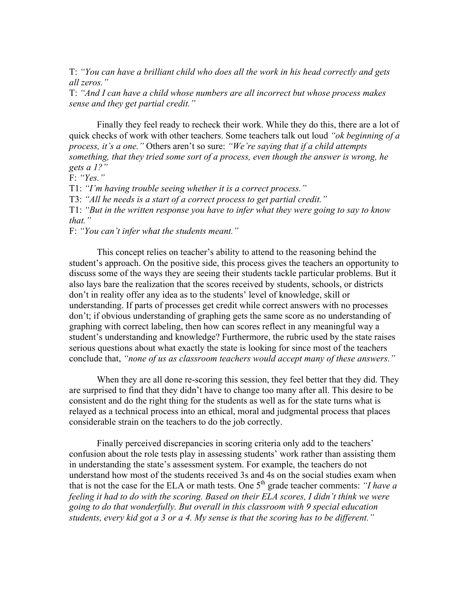T: *"You can have a brilliant child who does all the work in his head correctly and gets all zeros."*

T: *"And I can have a child whose numbers are all incorrect but whose process makes sense and they get partial credit."*

Finally they feel ready to recheck their work. While they do this, there are a lot of quick checks of work with other teachers. Some teachers talk out loud *"ok beginning of a process, it's a one."* Others aren't so sure: *"We're saying that if a child attempts something, that they tried some sort of a process, even though the answer is wrong, he gets a 1?"*

F: *"Yes."*

T1: *"I'm having trouble seeing whether it is a correct process."*

T3: *"All he needs is a start of a correct process to get partial credit."*

T1: *"But in the written response you have to infer what they were going to say to know that."*

F: *"You can't infer what the students meant."*

This concept relies on teacher's ability to attend to the reasoning behind the student's approach. On the positive side, this process gives the teachers an opportunity to discuss some of the ways they are seeing their students tackle particular problems. But it also lays bare the realization that the scores received by students, schools, or districts don't in reality offer any idea as to the students' level of knowledge, skill or understanding. If parts of processes get credit while correct answers with no processes don't; if obvious understanding of graphing gets the same score as no understanding of graphing with correct labeling, then how can scores reflect in any meaningful way a student's understanding and knowledge? Furthermore, the rubric used by the state raises serious questions about what exactly the state is looking for since most of the teachers conclude that, *"none of us as classroom teachers would accept many of these answers."*

When they are all done re-scoring this session, they feel better that they did. They are surprised to find that they didn't have to change too many after all. This desire to be consistent and do the right thing for the students as well as for the state turns what is relayed as a technical process into an ethical, moral and judgmental process that places considerable strain on the teachers to do the job correctly.

Finally perceived discrepancies in scoring criteria only add to the teachers' confusion about the role tests play in assessing students' work rather than assisting them in understanding the state's assessment system. For example, the teachers do not understand how most of the students received 3s and 4s on the social studies exam when that is not the case for the ELA or math tests. One  $5<sup>th</sup>$  grade teacher comments: *"I have a feeling it had to do with the scoring. Based on their ELA scores, I didn't think we were going to do that wonderfully. But overall in this classroom with 9 special education students, every kid got a 3 or a 4. My sense is that the scoring has to be different."*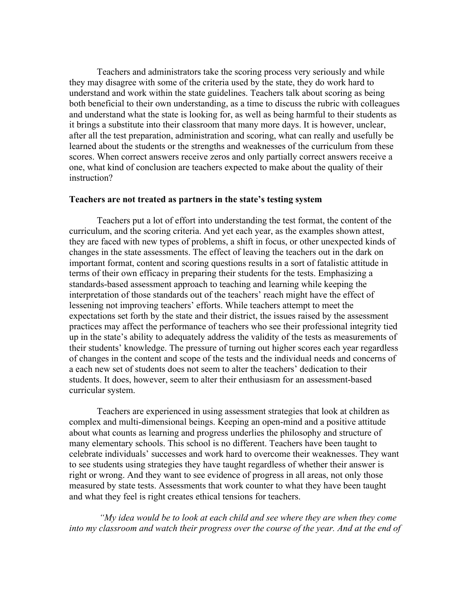Teachers and administrators take the scoring process very seriously and while they may disagree with some of the criteria used by the state, they do work hard to understand and work within the state guidelines. Teachers talk about scoring as being both beneficial to their own understanding, as a time to discuss the rubric with colleagues and understand what the state is looking for, as well as being harmful to their students as it brings a substitute into their classroom that many more days. It is however, unclear, after all the test preparation, administration and scoring, what can really and usefully be learned about the students or the strengths and weaknesses of the curriculum from these scores. When correct answers receive zeros and only partially correct answers receive a one, what kind of conclusion are teachers expected to make about the quality of their instruction?

# **Teachers are not treated as partners in the state's testing system**

Teachers put a lot of effort into understanding the test format, the content of the curriculum, and the scoring criteria. And yet each year, as the examples shown attest, they are faced with new types of problems, a shift in focus, or other unexpected kinds of changes in the state assessments. The effect of leaving the teachers out in the dark on important format, content and scoring questions results in a sort of fatalistic attitude in terms of their own efficacy in preparing their students for the tests. Emphasizing a standards-based assessment approach to teaching and learning while keeping the interpretation of those standards out of the teachers' reach might have the effect of lessening not improving teachers' efforts. While teachers attempt to meet the expectations set forth by the state and their district, the issues raised by the assessment practices may affect the performance of teachers who see their professional integrity tied up in the state's ability to adequately address the validity of the tests as measurements of their students' knowledge. The pressure of turning out higher scores each year regardless of changes in the content and scope of the tests and the individual needs and concerns of a each new set of students does not seem to alter the teachers' dedication to their students. It does, however, seem to alter their enthusiasm for an assessment-based curricular system.

Teachers are experienced in using assessment strategies that look at children as complex and multi-dimensional beings. Keeping an open-mind and a positive attitude about what counts as learning and progress underlies the philosophy and structure of many elementary schools. This school is no different. Teachers have been taught to celebrate individuals' successes and work hard to overcome their weaknesses. They want to see students using strategies they have taught regardless of whether their answer is right or wrong. And they want to see evidence of progress in all areas, not only those measured by state tests. Assessments that work counter to what they have been taught and what they feel is right creates ethical tensions for teachers.

 *"My idea would be to look at each child and see where they are when they come into my classroom and watch their progress over the course of the year. And at the end of*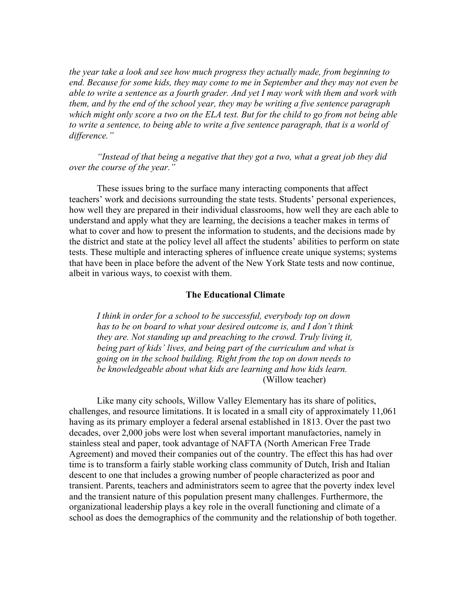*the year take a look and see how much progress they actually made, from beginning to end. Because for some kids, they may come to me in September and they may not even be able to write a sentence as a fourth grader. And yet I may work with them and work with them, and by the end of the school year, they may be writing a five sentence paragraph which might only score a two on the ELA test. But for the child to go from not being able to write a sentence, to being able to write a five sentence paragraph, that is a world of difference."*

*"Instead of that being a negative that they got a two, what a great job they did over the course of the year."*

These issues bring to the surface many interacting components that affect teachers' work and decisions surrounding the state tests. Students' personal experiences, how well they are prepared in their individual classrooms, how well they are each able to understand and apply what they are learning, the decisions a teacher makes in terms of what to cover and how to present the information to students, and the decisions made by the district and state at the policy level all affect the students' abilities to perform on state tests. These multiple and interacting spheres of influence create unique systems; systems that have been in place before the advent of the New York State tests and now continue, albeit in various ways, to coexist with them.

## **The Educational Climate**

*I think in order for a school to be successful, everybody top on down has to be on board to what your desired outcome is, and I don't think they are. Not standing up and preaching to the crowd. Truly living it, being part of kids' lives, and being part of the curriculum and what is going on in the school building. Right from the top on down needs to be knowledgeable about what kids are learning and how kids learn.* (Willow teacher)

Like many city schools, Willow Valley Elementary has its share of politics, challenges, and resource limitations. It is located in a small city of approximately 11,061 having as its primary employer a federal arsenal established in 1813. Over the past two decades, over 2,000 jobs were lost when several important manufactories, namely in stainless steal and paper, took advantage of NAFTA (North American Free Trade Agreement) and moved their companies out of the country. The effect this has had over time is to transform a fairly stable working class community of Dutch, Irish and Italian descent to one that includes a growing number of people characterized as poor and transient. Parents, teachers and administrators seem to agree that the poverty index level and the transient nature of this population present many challenges. Furthermore, the organizational leadership plays a key role in the overall functioning and climate of a school as does the demographics of the community and the relationship of both together.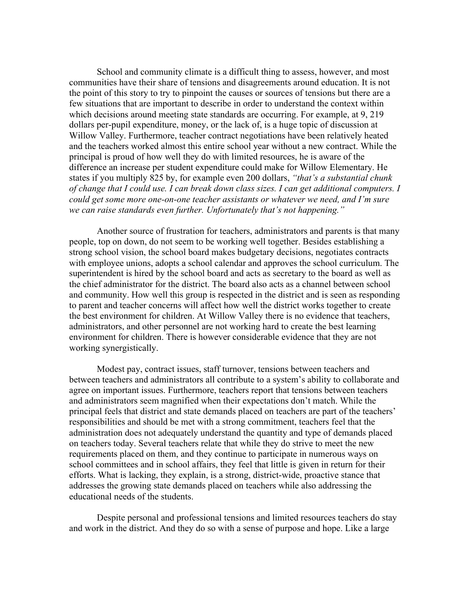School and community climate is a difficult thing to assess, however, and most communities have their share of tensions and disagreements around education. It is not the point of this story to try to pinpoint the causes or sources of tensions but there are a few situations that are important to describe in order to understand the context within which decisions around meeting state standards are occurring. For example, at 9, 219 dollars per-pupil expenditure, money, or the lack of, is a huge topic of discussion at Willow Valley. Furthermore, teacher contract negotiations have been relatively heated and the teachers worked almost this entire school year without a new contract. While the principal is proud of how well they do with limited resources, he is aware of the difference an increase per student expenditure could make for Willow Elementary. He states if you multiply 825 by, for example even 200 dollars, *"that's a substantial chunk of change that I could use. I can break down class sizes. I can get additional computers. I could get some more one-on-one teacher assistants or whatever we need, and I'm sure we can raise standards even further. Unfortunately that's not happening."*

Another source of frustration for teachers, administrators and parents is that many people, top on down, do not seem to be working well together. Besides establishing a strong school vision, the school board makes budgetary decisions, negotiates contracts with employee unions, adopts a school calendar and approves the school curriculum. The superintendent is hired by the school board and acts as secretary to the board as well as the chief administrator for the district. The board also acts as a channel between school and community. How well this group is respected in the district and is seen as responding to parent and teacher concerns will affect how well the district works together to create the best environment for children. At Willow Valley there is no evidence that teachers, administrators, and other personnel are not working hard to create the best learning environment for children. There is however considerable evidence that they are not working synergistically.

Modest pay, contract issues, staff turnover, tensions between teachers and between teachers and administrators all contribute to a system's ability to collaborate and agree on important issues. Furthermore, teachers report that tensions between teachers and administrators seem magnified when their expectations don't match. While the principal feels that district and state demands placed on teachers are part of the teachers' responsibilities and should be met with a strong commitment, teachers feel that the administration does not adequately understand the quantity and type of demands placed on teachers today. Several teachers relate that while they do strive to meet the new requirements placed on them, and they continue to participate in numerous ways on school committees and in school affairs, they feel that little is given in return for their efforts. What is lacking, they explain, is a strong, district-wide, proactive stance that addresses the growing state demands placed on teachers while also addressing the educational needs of the students.

Despite personal and professional tensions and limited resources teachers do stay and work in the district. And they do so with a sense of purpose and hope. Like a large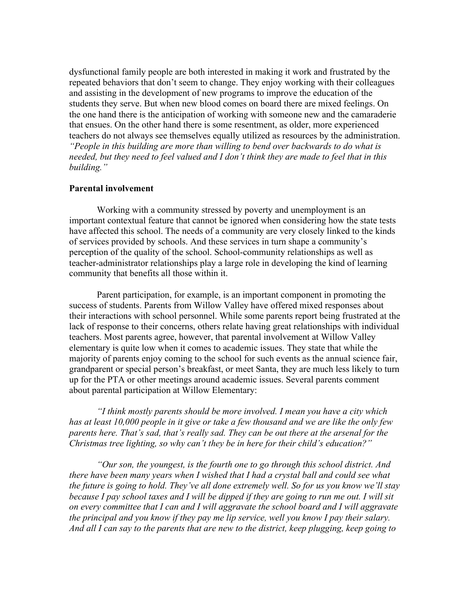dysfunctional family people are both interested in making it work and frustrated by the repeated behaviors that don't seem to change. They enjoy working with their colleagues and assisting in the development of new programs to improve the education of the students they serve. But when new blood comes on board there are mixed feelings. On the one hand there is the anticipation of working with someone new and the camaraderie that ensues. On the other hand there is some resentment, as older, more experienced teachers do not always see themselves equally utilized as resources by the administration. *"People in this building are more than willing to bend over backwards to do what is needed, but they need to feel valued and I don't think they are made to feel that in this building."*

# **Parental involvement**

Working with a community stressed by poverty and unemployment is an important contextual feature that cannot be ignored when considering how the state tests have affected this school. The needs of a community are very closely linked to the kinds of services provided by schools. And these services in turn shape a community's perception of the quality of the school. School-community relationships as well as teacher-administrator relationships play a large role in developing the kind of learning community that benefits all those within it.

Parent participation, for example, is an important component in promoting the success of students. Parents from Willow Valley have offered mixed responses about their interactions with school personnel. While some parents report being frustrated at the lack of response to their concerns, others relate having great relationships with individual teachers. Most parents agree, however, that parental involvement at Willow Valley elementary is quite low when it comes to academic issues. They state that while the majority of parents enjoy coming to the school for such events as the annual science fair, grandparent or special person's breakfast, or meet Santa, they are much less likely to turn up for the PTA or other meetings around academic issues. Several parents comment about parental participation at Willow Elementary:

*"I think mostly parents should be more involved. I mean you have a city which has at least 10,000 people in it give or take a few thousand and we are like the only few parents here. That's sad, that's really sad. They can be out there at the arsenal for the Christmas tree lighting, so why can't they be in here for their child's education?"*

*"Our son, the youngest, is the fourth one to go through this school district. And there have been many years when I wished that I had a crystal ball and could see what the future is going to hold. They've all done extremely well. So for us you know we'll stay because I pay school taxes and I will be dipped if they are going to run me out. I will sit on every committee that I can and I will aggravate the school board and I will aggravate the principal and you know if they pay me lip service, well you know I pay their salary. And all I can say to the parents that are new to the district, keep plugging, keep going to*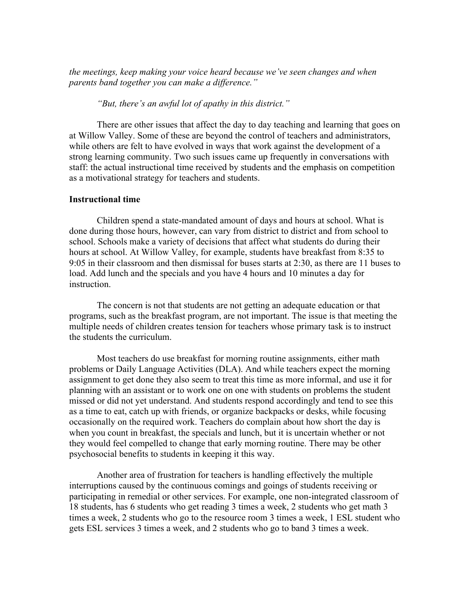*the meetings, keep making your voice heard because we've seen changes and when parents band together you can make a difference."*

*"But, there's an awful lot of apathy in this district."*

There are other issues that affect the day to day teaching and learning that goes on at Willow Valley. Some of these are beyond the control of teachers and administrators, while others are felt to have evolved in ways that work against the development of a strong learning community. Two such issues came up frequently in conversations with staff: the actual instructional time received by students and the emphasis on competition as a motivational strategy for teachers and students.

# **Instructional time**

Children spend a state-mandated amount of days and hours at school. What is done during those hours, however, can vary from district to district and from school to school. Schools make a variety of decisions that affect what students do during their hours at school. At Willow Valley, for example, students have breakfast from 8:35 to 9:05 in their classroom and then dismissal for buses starts at 2:30, as there are 11 buses to load. Add lunch and the specials and you have 4 hours and 10 minutes a day for instruction.

The concern is not that students are not getting an adequate education or that programs, such as the breakfast program, are not important. The issue is that meeting the multiple needs of children creates tension for teachers whose primary task is to instruct the students the curriculum.

Most teachers do use breakfast for morning routine assignments, either math problems or Daily Language Activities (DLA). And while teachers expect the morning assignment to get done they also seem to treat this time as more informal, and use it for planning with an assistant or to work one on one with students on problems the student missed or did not yet understand. And students respond accordingly and tend to see this as a time to eat, catch up with friends, or organize backpacks or desks, while focusing occasionally on the required work. Teachers do complain about how short the day is when you count in breakfast, the specials and lunch, but it is uncertain whether or not they would feel compelled to change that early morning routine. There may be other psychosocial benefits to students in keeping it this way.

Another area of frustration for teachers is handling effectively the multiple interruptions caused by the continuous comings and goings of students receiving or participating in remedial or other services. For example, one non-integrated classroom of 18 students, has 6 students who get reading 3 times a week, 2 students who get math 3 times a week, 2 students who go to the resource room 3 times a week, 1 ESL student who gets ESL services 3 times a week, and 2 students who go to band 3 times a week.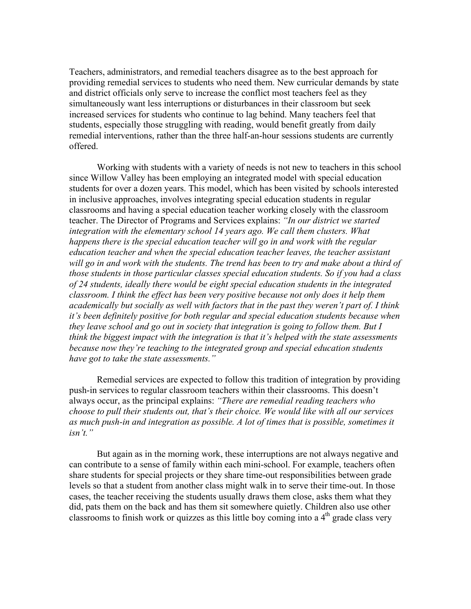Teachers, administrators, and remedial teachers disagree as to the best approach for providing remedial services to students who need them. New curricular demands by state and district officials only serve to increase the conflict most teachers feel as they simultaneously want less interruptions or disturbances in their classroom but seek increased services for students who continue to lag behind. Many teachers feel that students, especially those struggling with reading, would benefit greatly from daily remedial interventions, rather than the three half-an-hour sessions students are currently offered.

Working with students with a variety of needs is not new to teachers in this school since Willow Valley has been employing an integrated model with special education students for over a dozen years. This model, which has been visited by schools interested in inclusive approaches, involves integrating special education students in regular classrooms and having a special education teacher working closely with the classroom teacher. The Director of Programs and Services explains: *"In our district we started integration with the elementary school 14 years ago. We call them clusters. What happens there is the special education teacher will go in and work with the regular education teacher and when the special education teacher leaves, the teacher assistant will go in and work with the students. The trend has been to try and make about a third of those students in those particular classes special education students. So if you had a class of 24 students, ideally there would be eight special education students in the integrated classroom. I think the effect has been very positive because not only does it help them academically but socially as well with factors that in the past they weren't part of. I think it's been definitely positive for both regular and special education students because when they leave school and go out in society that integration is going to follow them. But I think the biggest impact with the integration is that it's helped with the state assessments because now they're teaching to the integrated group and special education students have got to take the state assessments."*

Remedial services are expected to follow this tradition of integration by providing push-in services to regular classroom teachers within their classrooms. This doesn't always occur, as the principal explains: *"There are remedial reading teachers who choose to pull their students out, that's their choice. We would like with all our services as much push-in and integration as possible. A lot of times that is possible, sometimes it isn't."* 

But again as in the morning work, these interruptions are not always negative and can contribute to a sense of family within each mini-school. For example, teachers often share students for special projects or they share time-out responsibilities between grade levels so that a student from another class might walk in to serve their time-out. In those cases, the teacher receiving the students usually draws them close, asks them what they did, pats them on the back and has them sit somewhere quietly. Children also use other classrooms to finish work or quizzes as this little boy coming into a  $4<sup>th</sup>$  grade class very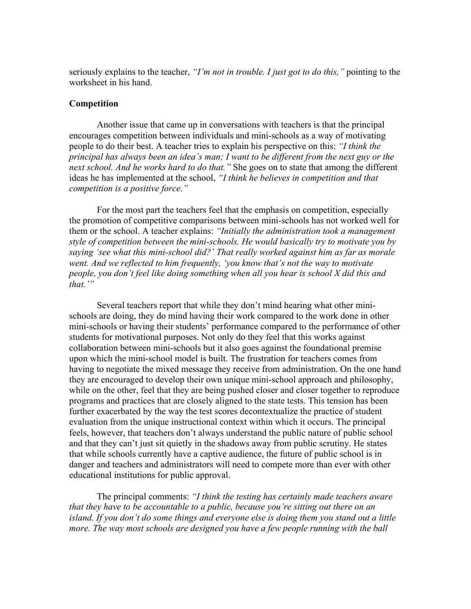seriously explains to the teacher, *"I'm not in trouble. I just got to do this,"* pointing to the worksheet in his hand.

#### **Competition**

Another issue that came up in conversations with teachers is that the principal encourages competition between individuals and mini-schools as a way of motivating people to do their best. A teacher tries to explain his perspective on this: *"I think the principal has always been an idea's man; I want to be different from the next guy or the next school. And he works hard to do that."* She goes on to state that among the different ideas he has implemented at the school, *"I think he believes in competition and that competition is a positive force."*

For the most part the teachers feel that the emphasis on competition, especially the promotion of competitive comparisons between mini-schools has not worked well for them or the school. A teacher explains: *"Initially the administration took a management style of competition between the mini-schools. He would basically try to motivate you by saying 'see what this mini-school did?' That really worked against him as far as morale went. And we reflected to him frequently, 'you know that's not the way to motivate people, you don't feel like doing something when all you hear is school X did this and that.'"*

Several teachers report that while they don't mind hearing what other minischools are doing, they do mind having their work compared to the work done in other mini-schools or having their students' performance compared to the performance of other students for motivational purposes. Not only do they feel that this works against collaboration between mini-schools but it also goes against the foundational premise upon which the mini-school model is built. The frustration for teachers comes from having to negotiate the mixed message they receive from administration. On the one hand they are encouraged to develop their own unique mini-school approach and philosophy, while on the other, feel that they are being pushed closer and closer together to reproduce programs and practices that are closely aligned to the state tests. This tension has been further exacerbated by the way the test scores decontextualize the practice of student evaluation from the unique instructional context within which it occurs. The principal feels, however, that teachers don't always understand the public nature of public school and that they can't just sit quietly in the shadows away from public scrutiny. He states that while schools currently have a captive audience, the future of public school is in danger and teachers and administrators will need to compete more than ever with other educational institutions for public approval.

The principal comments: *"I think the testing has certainly made teachers aware that they have to be accountable to a public, because you're sitting out there on an island. If you don't do some things and everyone else is doing them you stand out a little more. The way most schools are designed you have a few people running with the ball*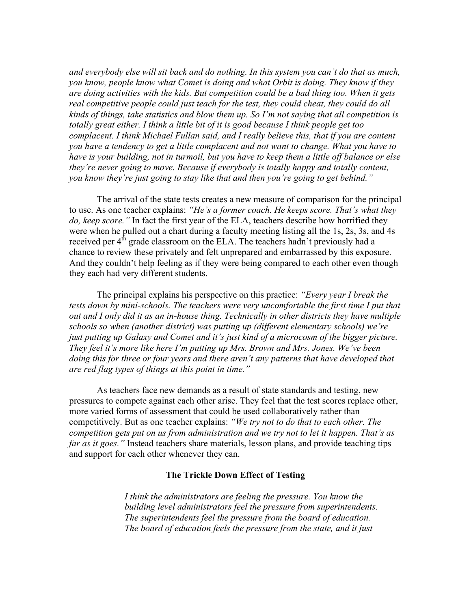*and everybody else will sit back and do nothing. In this system you can't do that as much, you know, people know what Comet is doing and what Orbit is doing. They know if they are doing activities with the kids. But competition could be a bad thing too. When it gets real competitive people could just teach for the test, they could cheat, they could do all kinds of things, take statistics and blow them up. So I'm not saying that all competition is totally great either. I think a little bit of it is good because I think people get too complacent. I think Michael Fullan said, and I really believe this, that if you are content you have a tendency to get a little complacent and not want to change. What you have to have is your building, not in turmoil, but you have to keep them a little off balance or else they're never going to move. Because if everybody is totally happy and totally content, you know they're just going to stay like that and then you're going to get behind."*

The arrival of the state tests creates a new measure of comparison for the principal to use. As one teacher explains: *"He's a former coach. He keeps score. That's what they do, keep score."* In fact the first year of the ELA, teachers describe how horrified they were when he pulled out a chart during a faculty meeting listing all the 1s, 2s, 3s, and 4s received per  $4<sup>th</sup>$  grade classroom on the ELA. The teachers hadn't previously had a chance to review these privately and felt unprepared and embarrassed by this exposure. And they couldn't help feeling as if they were being compared to each other even though they each had very different students.

The principal explains his perspective on this practice: *"Every year I break the tests down by mini-schools. The teachers were very uncomfortable the first time I put that out and I only did it as an in-house thing. Technically in other districts they have multiple schools so when (another district) was putting up (different elementary schools) we're just putting up Galaxy and Comet and it's just kind of a microcosm of the bigger picture. They feel it's more like here I'm putting up Mrs. Brown and Mrs. Jones. We've been doing this for three or four years and there aren't any patterns that have developed that are red flag types of things at this point in time."*

As teachers face new demands as a result of state standards and testing, new pressures to compete against each other arise. They feel that the test scores replace other, more varied forms of assessment that could be used collaboratively rather than competitively. But as one teacher explains: *"We try not to do that to each other. The competition gets put on us from administration and we try not to let it happen. That's as far as it goes."* Instead teachers share materials, lesson plans, and provide teaching tips and support for each other whenever they can.

# **The Trickle Down Effect of Testing**

*I think the administrators are feeling the pressure. You know the building level administrators feel the pressure from superintendents. The superintendents feel the pressure from the board of education. The board of education feels the pressure from the state, and it just*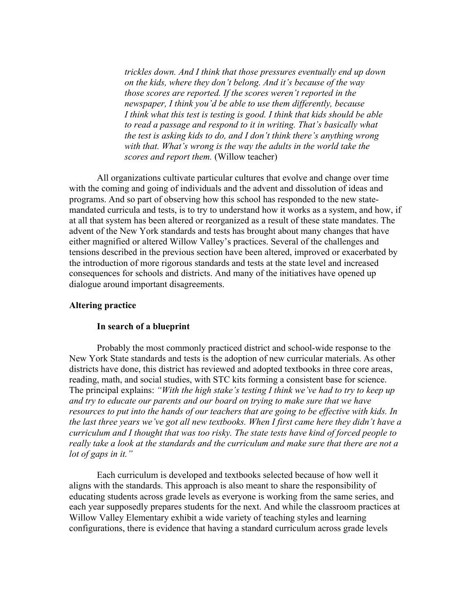*trickles down. And I think that those pressures eventually end up down on the kids, where they don't belong. And it's because of the way those scores are reported. If the scores weren't reported in the newspaper, I think you'd be able to use them differently, because I think what this test is testing is good. I think that kids should be able to read a passage and respond to it in writing. That's basically what the test is asking kids to do, and I don't think there's anything wrong with that. What's wrong is the way the adults in the world take the scores and report them.* (Willow teacher)

All organizations cultivate particular cultures that evolve and change over time with the coming and going of individuals and the advent and dissolution of ideas and programs. And so part of observing how this school has responded to the new statemandated curricula and tests, is to try to understand how it works as a system, and how, if at all that system has been altered or reorganized as a result of these state mandates. The advent of the New York standards and tests has brought about many changes that have either magnified or altered Willow Valley's practices. Several of the challenges and tensions described in the previous section have been altered, improved or exacerbated by the introduction of more rigorous standards and tests at the state level and increased consequences for schools and districts. And many of the initiatives have opened up dialogue around important disagreements.

# **Altering practice**

# **In search of a blueprint**

Probably the most commonly practiced district and school-wide response to the New York State standards and tests is the adoption of new curricular materials. As other districts have done, this district has reviewed and adopted textbooks in three core areas, reading, math, and social studies, with STC kits forming a consistent base for science. The principal explains: *"With the high stake's testing I think we've had to try to keep up and try to educate our parents and our board on trying to make sure that we have resources to put into the hands of our teachers that are going to be effective with kids. In the last three years we've got all new textbooks. When I first came here they didn't have a curriculum and I thought that was too risky. The state tests have kind of forced people to really take a look at the standards and the curriculum and make sure that there are not a lot of gaps in it."*

Each curriculum is developed and textbooks selected because of how well it aligns with the standards. This approach is also meant to share the responsibility of educating students across grade levels as everyone is working from the same series, and each year supposedly prepares students for the next. And while the classroom practices at Willow Valley Elementary exhibit a wide variety of teaching styles and learning configurations, there is evidence that having a standard curriculum across grade levels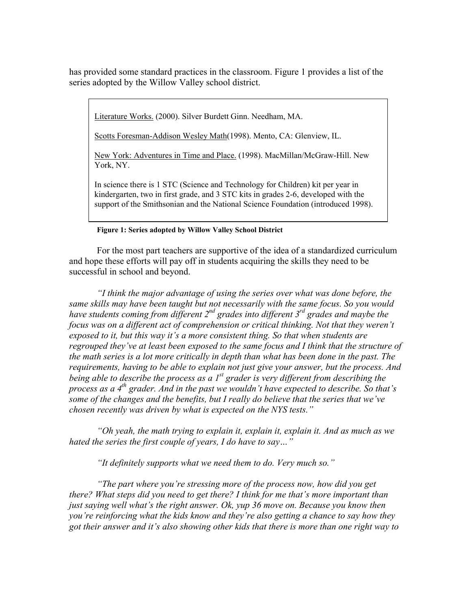has provided some standard practices in the classroom. Figure 1 provides a list of the series adopted by the Willow Valley school district.

Literature Works. (2000). Silver Burdett Ginn. Needham, MA.

Scotts Foresman-Addison Wesley Math(1998). Mento, CA: Glenview, IL.

New York: Adventures in Time and Place. (1998). MacMillan/McGraw-Hill. New York, NY.

In science there is 1 STC (Science and Technology for Children) kit per year in kindergarten, two in first grade, and 3 STC kits in grades 2-6, developed with the support of the Smithsonian and the National Science Foundation (introduced 1998).

## **Figure 1: Series adopted by Willow Valley School District**

For the most part teachers are supportive of the idea of a standardized curriculum and hope these efforts will pay off in students acquiring the skills they need to be successful in school and beyond.

*"I think the major advantage of using the series over what was done before, the same skills may have been taught but not necessarily with the same focus. So you would have students coming from different 2nd grades into different 3rd grades and maybe the focus was on a different act of comprehension or critical thinking. Not that they weren't exposed to it, but this way it's a more consistent thing. So that when students are regrouped they've at least been exposed to the same focus and I think that the structure of the math series is a lot more critically in depth than what has been done in the past. The requirements, having to be able to explain not just give your answer, but the process. And being able to describe the process as a 1st grader is very different from describing the process as a 4th grader. And in the past we wouldn't have expected to describe. So that's some of the changes and the benefits, but I really do believe that the series that we've chosen recently was driven by what is expected on the NYS tests."*

*"Oh yeah, the math trying to explain it, explain it, explain it. And as much as we hated the series the first couple of years, I do have to say…"*

*"It definitely supports what we need them to do. Very much so."*

*"The part where you're stressing more of the process now, how did you get there? What steps did you need to get there? I think for me that's more important than just saying well what's the right answer. Ok, yup 36 move on. Because you know then you're reinforcing what the kids know and they're also getting a chance to say how they got their answer and it's also showing other kids that there is more than one right way to*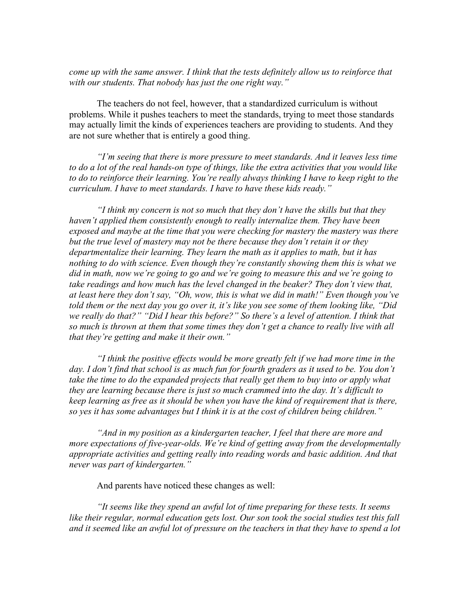*come up with the same answer. I think that the tests definitely allow us to reinforce that with our students. That nobody has just the one right way."*

The teachers do not feel, however, that a standardized curriculum is without problems. While it pushes teachers to meet the standards, trying to meet those standards may actually limit the kinds of experiences teachers are providing to students. And they are not sure whether that is entirely a good thing.

*"I'm seeing that there is more pressure to meet standards. And it leaves less time to do a lot of the real hands-on type of things, like the extra activities that you would like to do to reinforce their learning. You're really always thinking I have to keep right to the curriculum. I have to meet standards. I have to have these kids ready."*

*"I think my concern is not so much that they don't have the skills but that they haven't applied them consistently enough to really internalize them. They have been exposed and maybe at the time that you were checking for mastery the mastery was there but the true level of mastery may not be there because they don't retain it or they departmentalize their learning. They learn the math as it applies to math, but it has nothing to do with science. Even though they're constantly showing them this is what we did in math, now we're going to go and we're going to measure this and we're going to take readings and how much has the level changed in the beaker? They don't view that, at least here they don't say, "Oh, wow, this is what we did in math!" Even though you've told them or the next day you go over it, it's like you see some of them looking like, "Did we really do that?" "Did I hear this before?" So there's a level of attention. I think that so much is thrown at them that some times they don't get a chance to really live with all that they're getting and make it their own."*

*"I think the positive effects would be more greatly felt if we had more time in the day. I don't find that school is as much fun for fourth graders as it used to be. You don't take the time to do the expanded projects that really get them to buy into or apply what they are learning because there is just so much crammed into the day. It's difficult to keep learning as free as it should be when you have the kind of requirement that is there, so yes it has some advantages but I think it is at the cost of children being children."*

*"And in my position as a kindergarten teacher, I feel that there are more and more expectations of five-year-olds. We're kind of getting away from the developmentally appropriate activities and getting really into reading words and basic addition. And that never was part of kindergarten."*

And parents have noticed these changes as well:

*"It seems like they spend an awful lot of time preparing for these tests. It seems like their regular, normal education gets lost. Our son took the social studies test this fall and it seemed like an awful lot of pressure on the teachers in that they have to spend a lot*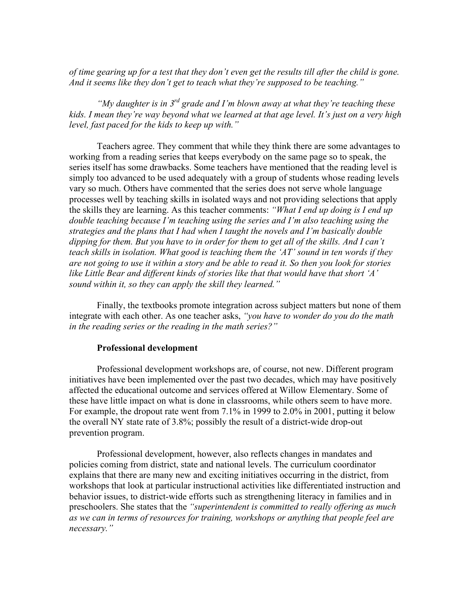*of time gearing up for a test that they don't even get the results till after the child is gone. And it seems like they don't get to teach what they're supposed to be teaching."*

*"My daughter is in 3rd grade and I'm blown away at what they're teaching these kids. I mean they're way beyond what we learned at that age level. It's just on a very high level, fast paced for the kids to keep up with."*

Teachers agree. They comment that while they think there are some advantages to working from a reading series that keeps everybody on the same page so to speak, the series itself has some drawbacks. Some teachers have mentioned that the reading level is simply too advanced to be used adequately with a group of students whose reading levels vary so much. Others have commented that the series does not serve whole language processes well by teaching skills in isolated ways and not providing selections that apply the skills they are learning. As this teacher comments: *"What I end up doing is I end up double teaching because I'm teaching using the series and I'm also teaching using the strategies and the plans that I had when I taught the novels and I'm basically double dipping for them. But you have to in order for them to get all of the skills. And I can't teach skills in isolation. What good is teaching them the 'AT' sound in ten words if they are not going to use it within a story and be able to read it. So then you look for stories like Little Bear and different kinds of stories like that that would have that short 'A' sound within it, so they can apply the skill they learned."*

Finally, the textbooks promote integration across subject matters but none of them integrate with each other. As one teacher asks, *"you have to wonder do you do the math in the reading series or the reading in the math series?"*

## **Professional development**

Professional development workshops are, of course, not new. Different program initiatives have been implemented over the past two decades, which may have positively affected the educational outcome and services offered at Willow Elementary. Some of these have little impact on what is done in classrooms, while others seem to have more. For example, the dropout rate went from 7.1% in 1999 to 2.0% in 2001, putting it below the overall NY state rate of 3.8%; possibly the result of a district-wide drop-out prevention program.

Professional development, however, also reflects changes in mandates and policies coming from district, state and national levels. The curriculum coordinator explains that there are many new and exciting initiatives occurring in the district, from workshops that look at particular instructional activities like differentiated instruction and behavior issues, to district-wide efforts such as strengthening literacy in families and in preschoolers. She states that the *"superintendent is committed to really offering as much as we can in terms of resources for training, workshops or anything that people feel are necessary."*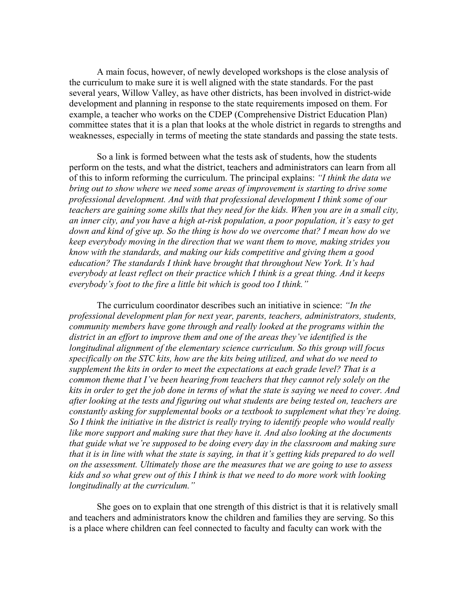A main focus, however, of newly developed workshops is the close analysis of the curriculum to make sure it is well aligned with the state standards. For the past several years, Willow Valley, as have other districts, has been involved in district-wide development and planning in response to the state requirements imposed on them. For example, a teacher who works on the CDEP (Comprehensive District Education Plan) committee states that it is a plan that looks at the whole district in regards to strengths and weaknesses, especially in terms of meeting the state standards and passing the state tests.

So a link is formed between what the tests ask of students, how the students perform on the tests, and what the district, teachers and administrators can learn from all of this to inform reforming the curriculum. The principal explains: *"I think the data we bring out to show where we need some areas of improvement is starting to drive some professional development. And with that professional development I think some of our teachers are gaining some skills that they need for the kids. When you are in a small city, an inner city, and you have a high at-risk population, a poor population, it's easy to get down and kind of give up. So the thing is how do we overcome that? I mean how do we keep everybody moving in the direction that we want them to move, making strides you know with the standards, and making our kids competitive and giving them a good education? The standards I think have brought that throughout New York. It's had everybody at least reflect on their practice which I think is a great thing. And it keeps everybody's foot to the fire a little bit which is good too I think."*

The curriculum coordinator describes such an initiative in science: *"In the professional development plan for next year, parents, teachers, administrators, students, community members have gone through and really looked at the programs within the district in an effort to improve them and one of the areas they've identified is the longitudinal alignment of the elementary science curriculum. So this group will focus specifically on the STC kits, how are the kits being utilized, and what do we need to supplement the kits in order to meet the expectations at each grade level? That is a common theme that I've been hearing from teachers that they cannot rely solely on the kits in order to get the job done in terms of what the state is saying we need to cover. And after looking at the tests and figuring out what students are being tested on, teachers are constantly asking for supplemental books or a textbook to supplement what they're doing. So I think the initiative in the district is really trying to identify people who would really like more support and making sure that they have it. And also looking at the documents that guide what we're supposed to be doing every day in the classroom and making sure that it is in line with what the state is saying, in that it's getting kids prepared to do well on the assessment. Ultimately those are the measures that we are going to use to assess kids and so what grew out of this I think is that we need to do more work with looking longitudinally at the curriculum."*

She goes on to explain that one strength of this district is that it is relatively small and teachers and administrators know the children and families they are serving. So this is a place where children can feel connected to faculty and faculty can work with the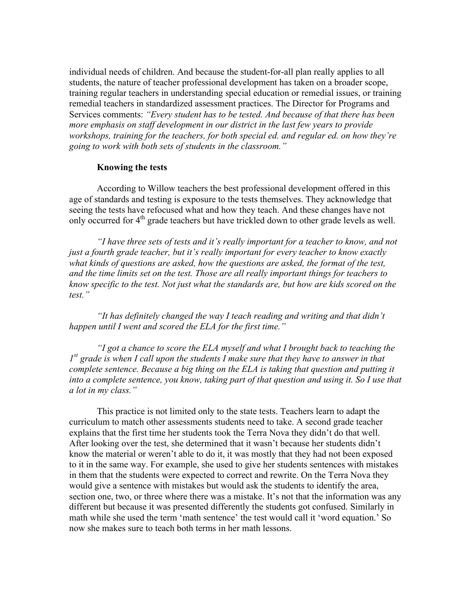individual needs of children. And because the student-for-all plan really applies to all students, the nature of teacher professional development has taken on a broader scope, training regular teachers in understanding special education or remedial issues, or training remedial teachers in standardized assessment practices. The Director for Programs and Services comments: *"Every student has to be tested. And because of that there has been more emphasis on staff development in our district in the last few years to provide workshops, training for the teachers, for both special ed. and regular ed. on how they're going to work with both sets of students in the classroom."*

# **Knowing the tests**

According to Willow teachers the best professional development offered in this age of standards and testing is exposure to the tests themselves. They acknowledge that seeing the tests have refocused what and how they teach. And these changes have not only occurred for 4<sup>th</sup> grade teachers but have trickled down to other grade levels as well.

*"I have three sets of tests and it's really important for a teacher to know, and not just a fourth grade teacher, but it's really important for every teacher to know exactly what kinds of questions are asked, how the questions are asked, the format of the test, and the time limits set on the test. Those are all really important things for teachers to know specific to the test. Not just what the standards are, but how are kids scored on the test."*

*"It has definitely changed the way I teach reading and writing and that didn't happen until I went and scored the ELA for the first time."*

*"I got a chance to score the ELA myself and what I brought back to teaching the 1st grade is when I call upon the students I make sure that they have to answer in that complete sentence. Because a big thing on the ELA is taking that question and putting it into a complete sentence, you know, taking part of that question and using it. So I use that a lot in my class."*

This practice is not limited only to the state tests. Teachers learn to adapt the curriculum to match other assessments students need to take. A second grade teacher explains that the first time her students took the Terra Nova they didn't do that well. After looking over the test, she determined that it wasn't because her students didn't know the material or weren't able to do it, it was mostly that they had not been exposed to it in the same way. For example, she used to give her students sentences with mistakes in them that the students were expected to correct and rewrite. On the Terra Nova they would give a sentence with mistakes but would ask the students to identify the area, section one, two, or three where there was a mistake. It's not that the information was any different but because it was presented differently the students got confused. Similarly in math while she used the term 'math sentence' the test would call it 'word equation.' So now she makes sure to teach both terms in her math lessons.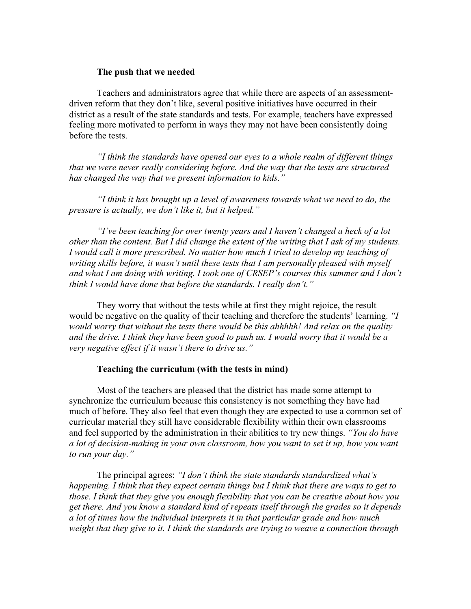# **The push that we needed**

Teachers and administrators agree that while there are aspects of an assessmentdriven reform that they don't like, several positive initiatives have occurred in their district as a result of the state standards and tests. For example, teachers have expressed feeling more motivated to perform in ways they may not have been consistently doing before the tests.

*"I think the standards have opened our eyes to a whole realm of different things that we were never really considering before. And the way that the tests are structured has changed the way that we present information to kids."*

*"I think it has brought up a level of awareness towards what we need to do, the pressure is actually, we don't like it, but it helped."*

*"I've been teaching for over twenty years and I haven't changed a heck of a lot other than the content. But I did change the extent of the writing that I ask of my students. I would call it more prescribed. No matter how much I tried to develop my teaching of writing skills before, it wasn't until these tests that I am personally pleased with myself and what I am doing with writing. I took one of CRSEP's courses this summer and I don't think I would have done that before the standards. I really don't."*

They worry that without the tests while at first they might rejoice, the result would be negative on the quality of their teaching and therefore the students' learning. *"I would worry that without the tests there would be this ahhhhh! And relax on the quality and the drive. I think they have been good to push us. I would worry that it would be a very negative effect if it wasn't there to drive us."*

# **Teaching the curriculum (with the tests in mind)**

Most of the teachers are pleased that the district has made some attempt to synchronize the curriculum because this consistency is not something they have had much of before. They also feel that even though they are expected to use a common set of curricular material they still have considerable flexibility within their own classrooms and feel supported by the administration in their abilities to try new things. *"You do have a lot of decision-making in your own classroom, how you want to set it up, how you want to run your day."*

The principal agrees: *"I don't think the state standards standardized what's happening. I think that they expect certain things but I think that there are ways to get to those. I think that they give you enough flexibility that you can be creative about how you get there. And you know a standard kind of repeats itself through the grades so it depends a lot of times how the individual interprets it in that particular grade and how much weight that they give to it. I think the standards are trying to weave a connection through*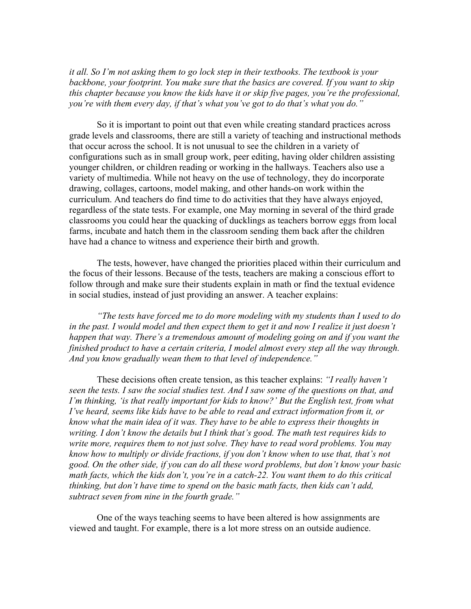*it all. So I'm not asking them to go lock step in their textbooks. The textbook is your backbone, your footprint. You make sure that the basics are covered. If you want to skip this chapter because you know the kids have it or skip five pages, you're the professional, you're with them every day, if that's what you've got to do that's what you do."*

So it is important to point out that even while creating standard practices across grade levels and classrooms, there are still a variety of teaching and instructional methods that occur across the school. It is not unusual to see the children in a variety of configurations such as in small group work, peer editing, having older children assisting younger children, or children reading or working in the hallways. Teachers also use a variety of multimedia. While not heavy on the use of technology, they do incorporate drawing, collages, cartoons, model making, and other hands-on work within the curriculum. And teachers do find time to do activities that they have always enjoyed, regardless of the state tests. For example, one May morning in several of the third grade classrooms you could hear the quacking of ducklings as teachers borrow eggs from local farms, incubate and hatch them in the classroom sending them back after the children have had a chance to witness and experience their birth and growth.

The tests, however, have changed the priorities placed within their curriculum and the focus of their lessons. Because of the tests, teachers are making a conscious effort to follow through and make sure their students explain in math or find the textual evidence in social studies, instead of just providing an answer. A teacher explains:

*"The tests have forced me to do more modeling with my students than I used to do in the past. I would model and then expect them to get it and now I realize it just doesn't happen that way. There's a tremendous amount of modeling going on and if you want the finished product to have a certain criteria, I model almost every step all the way through. And you know gradually wean them to that level of independence."*

These decisions often create tension, as this teacher explains: *"I really haven't seen the tests. I saw the social studies test. And I saw some of the questions on that, and I'm thinking, 'is that really important for kids to know?' But the English test, from what I've heard, seems like kids have to be able to read and extract information from it, or know what the main idea of it was. They have to be able to express their thoughts in writing. I don't know the details but I think that's good. The math test requires kids to write more, requires them to not just solve. They have to read word problems. You may know how to multiply or divide fractions, if you don't know when to use that, that's not good. On the other side, if you can do all these word problems, but don't know your basic math facts, which the kids don't, you're in a catch-22. You want them to do this critical thinking, but don't have time to spend on the basic math facts, then kids can't add, subtract seven from nine in the fourth grade."*

One of the ways teaching seems to have been altered is how assignments are viewed and taught. For example, there is a lot more stress on an outside audience.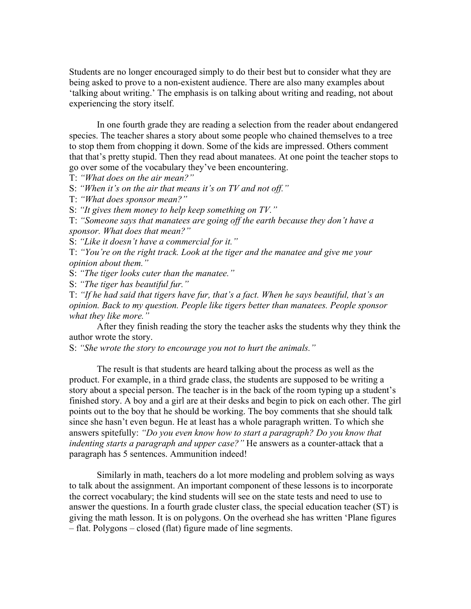Students are no longer encouraged simply to do their best but to consider what they are being asked to prove to a non-existent audience. There are also many examples about 'talking about writing.' The emphasis is on talking about writing and reading, not about experiencing the story itself.

In one fourth grade they are reading a selection from the reader about endangered species. The teacher shares a story about some people who chained themselves to a tree to stop them from chopping it down. Some of the kids are impressed. Others comment that that's pretty stupid. Then they read about manatees. At one point the teacher stops to go over some of the vocabulary they've been encountering.

T: *"What does on the air mean?"*

S: *"When it's on the air that means it's on TV and not off."*

T: *"What does sponsor mean?"*

S: *"It gives them money to help keep something on TV."*

T: *"Someone says that manatees are going off the earth because they don't have a sponsor. What does that mean?"*

S: *"Like it doesn't have a commercial for it."*

T: *"You're on the right track. Look at the tiger and the manatee and give me your opinion about them."*

S: *"The tiger looks cuter than the manatee."*

S: *"The tiger has beautiful fur."*

T: *"If he had said that tigers have fur, that's a fact. When he says beautiful, that's an opinion. Back to my question. People like tigers better than manatees. People sponsor what they like more."*

After they finish reading the story the teacher asks the students why they think the author wrote the story.

S: *"She wrote the story to encourage you not to hurt the animals."*

The result is that students are heard talking about the process as well as the product. For example, in a third grade class, the students are supposed to be writing a story about a special person. The teacher is in the back of the room typing up a student's finished story. A boy and a girl are at their desks and begin to pick on each other. The girl points out to the boy that he should be working. The boy comments that she should talk since she hasn't even begun. He at least has a whole paragraph written. To which she answers spitefully: *"Do you even know how to start a paragraph? Do you know that indenting starts a paragraph and upper case?"* He answers as a counter-attack that a paragraph has 5 sentences. Ammunition indeed!

Similarly in math, teachers do a lot more modeling and problem solving as ways to talk about the assignment. An important component of these lessons is to incorporate the correct vocabulary; the kind students will see on the state tests and need to use to answer the questions. In a fourth grade cluster class, the special education teacher (ST) is giving the math lesson. It is on polygons. On the overhead she has written 'Plane figures – flat. Polygons – closed (flat) figure made of line segments.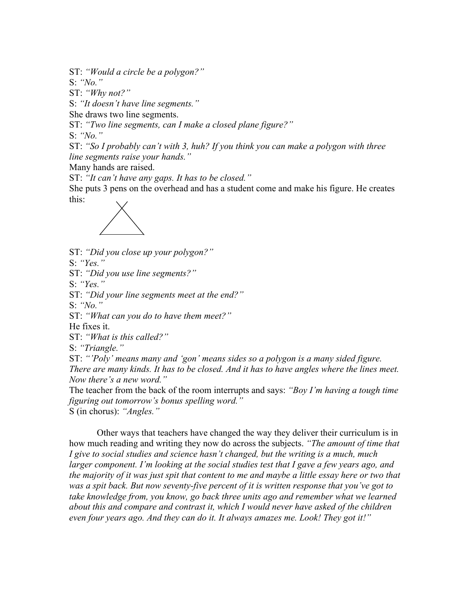ST: *"Would a circle be a polygon?"*

S: *"No."*

ST: *"Why not?"*

S: *"It doesn't have line segments."*

She draws two line segments.

ST: *"Two line segments, can I make a closed plane figure?"*

S: *"No."*

ST: *"So I probably can't with 3, huh? If you think you can make a polygon with three line segments raise your hands."*

Many hands are raised.

ST: *"It can't have any gaps. It has to be closed."*

She puts 3 pens on the overhead and has a student come and make his figure. He creates this:



ST: *"Did you close up your polygon?"*

S: *"Yes."*

ST: *"Did you use line segments?"*

S: *"Yes."*

ST: *"Did your line segments meet at the end?"*

S: *"No."*

ST: *"What can you do to have them meet?"*

He fixes it.

ST: *"What is this called?"*

S: *"Triangle."*

ST: *"'Poly' means many and 'gon' means sides so a polygon is a many sided figure. There are many kinds. It has to be closed. And it has to have angles where the lines meet. Now there's a new word."*

The teacher from the back of the room interrupts and says: *"Boy I'm having a tough time figuring out tomorrow's bonus spelling word."*

S (in chorus): *"Angles."*

Other ways that teachers have changed the way they deliver their curriculum is in how much reading and writing they now do across the subjects. *"The amount of time that I give to social studies and science hasn't changed, but the writing is a much, much larger component. I'm looking at the social studies test that I gave a few years ago, and the majority of it was just spit that content to me and maybe a little essay here or two that was a spit back. But now seventy-five percent of it is written response that you've got to take knowledge from, you know, go back three units ago and remember what we learned about this and compare and contrast it, which I would never have asked of the children even four years ago. And they can do it. It always amazes me. Look! They got it!"*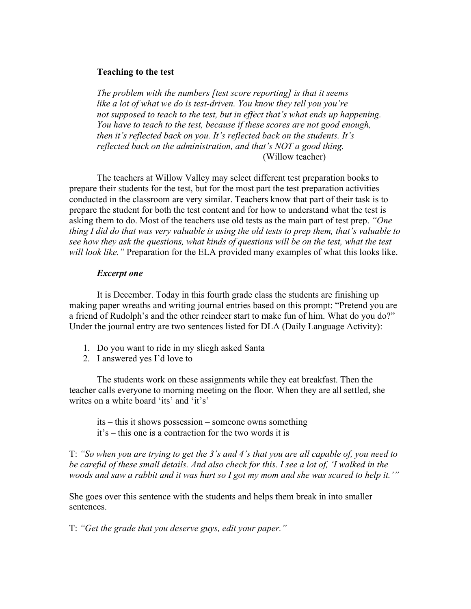# **Teaching to the test**

*The problem with the numbers [test score reporting] is that it seems like a lot of what we do is test-driven. You know they tell you you're not supposed to teach to the test, but in effect that's what ends up happening. You have to teach to the test, because if these scores are not good enough, then it's reflected back on you. It's reflected back on the students. It's reflected back on the administration, and that's NOT a good thing.* (Willow teacher)

The teachers at Willow Valley may select different test preparation books to prepare their students for the test, but for the most part the test preparation activities conducted in the classroom are very similar. Teachers know that part of their task is to prepare the student for both the test content and for how to understand what the test is asking them to do. Most of the teachers use old tests as the main part of test prep. *"One thing I did do that was very valuable is using the old tests to prep them, that's valuable to see how they ask the questions, what kinds of questions will be on the test, what the test will look like."* Preparation for the ELA provided many examples of what this looks like.

## *Excerpt one*

It is December. Today in this fourth grade class the students are finishing up making paper wreaths and writing journal entries based on this prompt: "Pretend you are a friend of Rudolph's and the other reindeer start to make fun of him. What do you do?" Under the journal entry are two sentences listed for DLA (Daily Language Activity):

- 1. Do you want to ride in my sliegh asked Santa
- 2. I answered yes I'd love to

The students work on these assignments while they eat breakfast. Then the teacher calls everyone to morning meeting on the floor. When they are all settled, she writes on a white board 'its' and 'it's'

its – this it shows possession – someone owns something it's – this one is a contraction for the two words it is

T: *"So when you are trying to get the 3's and 4's that you are all capable of, you need to be careful of these small details. And also check for this. I see a lot of, 'I walked in the woods and saw a rabbit and it was hurt so I got my mom and she was scared to help it.'"*

She goes over this sentence with the students and helps them break in into smaller sentences.

T: *"Get the grade that you deserve guys, edit your paper."*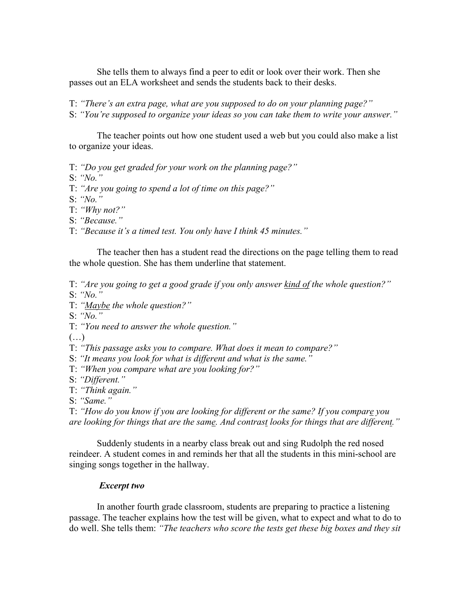She tells them to always find a peer to edit or look over their work. Then she passes out an ELA worksheet and sends the students back to their desks.

T: *"There's an extra page, what are you supposed to do on your planning page?"*

S: *"You're supposed to organize your ideas so you can take them to write your answer."*

The teacher points out how one student used a web but you could also make a list to organize your ideas.

T: *"Do you get graded for your work on the planning page?"*

S: *"No."*

T: *"Are you going to spend a lot of time on this page?"*

S: *"No."*

T: *"Why not?"*

S: *"Because."*

T: *"Because it's a timed test. You only have I think 45 minutes."*

The teacher then has a student read the directions on the page telling them to read the whole question. She has them underline that statement.

T: *"Are you going to get a good grade if you only answer kind of the whole question?"*

S: *"No."*

T: *"Maybe the whole question?"*

S: *"No."*

T: *"You need to answer the whole question."*

 $(\ldots)$ 

T: *"This passage asks you to compare. What does it mean to compare?"*

S: *"It means you look for what is different and what is the same."*

T: *"When you compare what are you looking for?"*

S: *"Different."*

T: *"Think again."*

S: *"Same."*

T: *"How do you know if you are looking for different or the same? If you compare you are looking for things that are the same. And contrast looks for things that are different."*

Suddenly students in a nearby class break out and sing Rudolph the red nosed reindeer. A student comes in and reminds her that all the students in this mini-school are singing songs together in the hallway.

# *Excerpt two*

In another fourth grade classroom, students are preparing to practice a listening passage. The teacher explains how the test will be given, what to expect and what to do to do well. She tells them: *"The teachers who score the tests get these big boxes and they sit*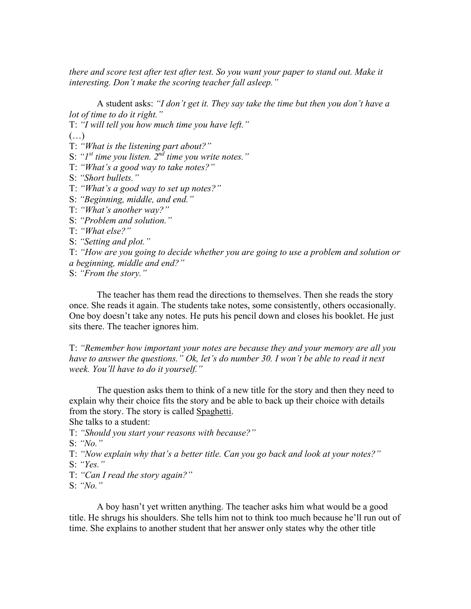*there and score test after test after test. So you want your paper to stand out. Make it interesting. Don't make the scoring teacher fall asleep."*

A student asks: *"I don't get it. They say take the time but then you don't have a lot of time to do it right."*

T: *"I will tell you how much time you have left."*

 $(\ldots)$ 

- T: *"What is the listening part about?"*
- S: *"1st time you listen. 2nd time you write notes."*
- T: *"What's a good way to take notes?"*
- S: *"Short bullets."*
- T: *"What's a good way to set up notes?"*
- S: *"Beginning, middle, and end."*
- T: *"What's another way?"*
- S: *"Problem and solution."*
- T: *"What else?"*

S: *"Setting and plot."*

T: *"How are you going to decide whether you are going to use a problem and solution or a beginning, middle and end?"*

S: *"From the story."*

The teacher has them read the directions to themselves. Then she reads the story once. She reads it again. The students take notes, some consistently, others occasionally. One boy doesn't take any notes. He puts his pencil down and closes his booklet. He just sits there. The teacher ignores him.

T: *"Remember how important your notes are because they and your memory are all you have to answer the questions." Ok, let's do number 30. I won't be able to read it next week. You'll have to do it yourself."*

The question asks them to think of a new title for the story and then they need to explain why their choice fits the story and be able to back up their choice with details from the story. The story is called Spaghetti.

She talks to a student:

- T: *"Should you start your reasons with because?"*
- S: *"No."*

T: *"Now explain why that's a better title. Can you go back and look at your notes?"*

- S: *"Yes."*
- T: *"Can I read the story again?"*

S: *"No."*

A boy hasn't yet written anything. The teacher asks him what would be a good title. He shrugs his shoulders. She tells him not to think too much because he'll run out of time. She explains to another student that her answer only states why the other title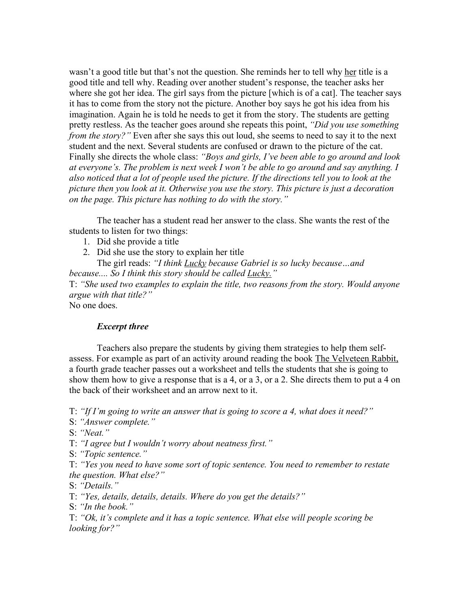wasn't a good title but that's not the question. She reminds her to tell why her title is a good title and tell why. Reading over another student's response, the teacher asks her where she got her idea. The girl says from the picture [which is of a cat]. The teacher says it has to come from the story not the picture. Another boy says he got his idea from his imagination. Again he is told he needs to get it from the story. The students are getting pretty restless. As the teacher goes around she repeats this point, *"Did you use something from the story?"* Even after she says this out loud, she seems to need to say it to the next student and the next. Several students are confused or drawn to the picture of the cat. Finally she directs the whole class: *"Boys and girls, I've been able to go around and look at everyone's. The problem is next week I won't be able to go around and say anything. I also noticed that a lot of people used the picture. If the directions tell you to look at the picture then you look at it. Otherwise you use the story. This picture is just a decoration on the page. This picture has nothing to do with the story."*

The teacher has a student read her answer to the class. She wants the rest of the students to listen for two things:

- 1. Did she provide a title
- 2. Did she use the story to explain her title

The girl reads: *"I think Lucky because Gabriel is so lucky because…and because.... So I think this story should be called Lucky."*

T: *"She used two examples to explain the title, two reasons from the story. Would anyone argue with that title?"*

No one does.

# *Excerpt three*

Teachers also prepare the students by giving them strategies to help them selfassess. For example as part of an activity around reading the book The Velveteen Rabbit, a fourth grade teacher passes out a worksheet and tells the students that she is going to show them how to give a response that is a 4, or a 3, or a 2. She directs them to put a 4 on the back of their worksheet and an arrow next to it.

T: *"If I'm going to write an answer that is going to score a 4, what does it need?"*

S: *"Answer complete."*

S: *"Neat."*

T: *"I agree but I wouldn't worry about neatness first."*

S: *"Topic sentence."*

T: *"Yes you need to have some sort of topic sentence. You need to remember to restate the question. What else?"*

S: *"Details."*

T: *"Yes, details, details, details. Where do you get the details?"*

S: *"In the book."*

T: *"Ok, it's complete and it has a topic sentence. What else will people scoring be looking for?"*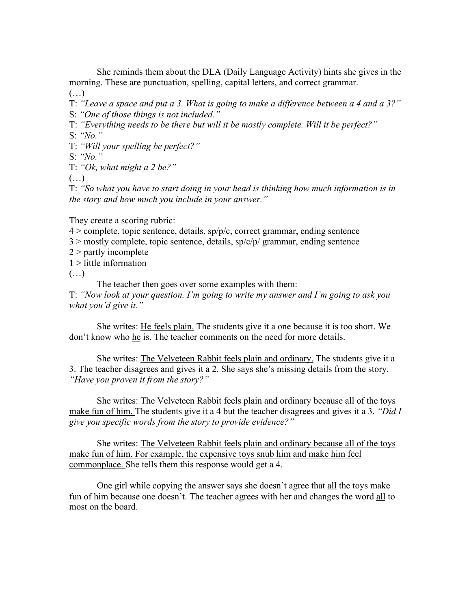She reminds them about the DLA (Daily Language Activity) hints she gives in the morning. These are punctuation, spelling, capital letters, and correct grammar.

 $(\ldots)$ 

T: *"Leave a space and put a 3. What is going to make a difference between a 4 and a 3?"* S: *"One of those things is not included."*

T: *"Everything needs to be there but will it be mostly complete. Will it be perfect?"*

S: *"No."*

T: *"Will your spelling be perfect?"*

S: *"No."*

T: *"Ok, what might a 2 be?"*

 $(\ldots)$ 

T: *"So what you have to start doing in your head is thinking how much information is in the story and how much you include in your answer."*

They create a scoring rubric:

 $4 >$  complete, topic sentence, details, sp/p/c, correct grammar, ending sentence

 $3 >$  mostly complete, topic sentence, details,  $\frac{\text{sp}}{\text{c}}$  grammar, ending sentence

 $2$  > partly incomplete

1 > little information

 $(\ldots)$ 

The teacher then goes over some examples with them:

T: *"Now look at your question. I'm going to write my answer and I'm going to ask you what you'd give it."*

She writes: He feels plain. The students give it a one because it is too short. We don't know who he is. The teacher comments on the need for more details.

She writes: The Velveteen Rabbit feels plain and ordinary. The students give it a 3. The teacher disagrees and gives it a 2. She says she's missing details from the story. *"Have you proven it from the story?"*

She writes: The Velveteen Rabbit feels plain and ordinary because all of the toys make fun of him. The students give it a 4 but the teacher disagrees and gives it a 3. *"Did I give you specific words from the story to provide evidence?"*

She writes: The Velveteen Rabbit feels plain and ordinary because all of the toys make fun of him. For example, the expensive toys snub him and make him feel commonplace. She tells them this response would get a 4.

One girl while copying the answer says she doesn't agree that all the toys make fun of him because one doesn't. The teacher agrees with her and changes the word all to most on the board.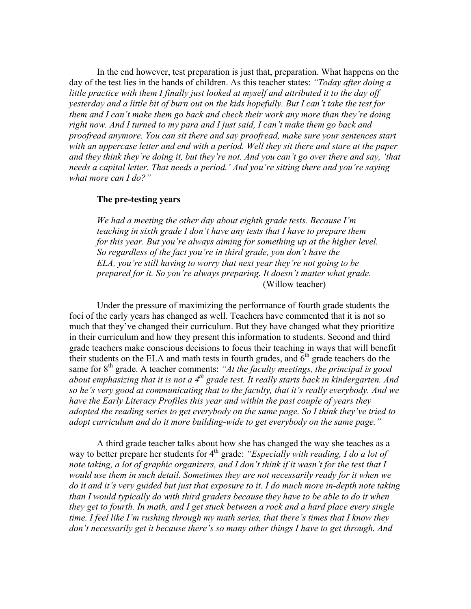In the end however, test preparation is just that, preparation. What happens on the day of the test lies in the hands of children. As this teacher states: *"Today after doing a little practice with them I finally just looked at myself and attributed it to the day off yesterday and a little bit of burn out on the kids hopefully. But I can't take the test for them and I can't make them go back and check their work any more than they're doing right now. And I turned to my para and I just said, I can't make them go back and proofread anymore. You can sit there and say proofread, make sure your sentences start with an uppercase letter and end with a period. Well they sit there and stare at the paper and they think they're doing it, but they're not. And you can't go over there and say, 'that needs a capital letter. That needs a period.' And you're sitting there and you're saying what more can I do?"*

# **The pre-testing years**

*We had a meeting the other day about eighth grade tests. Because I'm teaching in sixth grade I don't have any tests that I have to prepare them for this year. But you're always aiming for something up at the higher level. So regardless of the fact you're in third grade, you don't have the ELA, you're still having to worry that next year they're not going to be prepared for it. So you're always preparing. It doesn't matter what grade.* (Willow teacher)

Under the pressure of maximizing the performance of fourth grade students the foci of the early years has changed as well. Teachers have commented that it is not so much that they've changed their curriculum. But they have changed what they prioritize in their curriculum and how they present this information to students. Second and third grade teachers make conscious decisions to focus their teaching in ways that will benefit their students on the ELA and math tests in fourth grades, and  $6<sup>th</sup>$  grade teachers do the same for 8<sup>th</sup> grade. A teacher comments: "At the faculty meetings, the principal is good *about emphasizing that it is not a 4th grade test. It really starts back in kindergarten. And so he's very good at communicating that to the faculty, that it's really everybody. And we have the Early Literacy Profiles this year and within the past couple of years they adopted the reading series to get everybody on the same page. So I think they've tried to adopt curriculum and do it more building-wide to get everybody on the same page."*

A third grade teacher talks about how she has changed the way she teaches as a way to better prepare her students for 4<sup>th</sup> grade: *"Especially with reading, I do a lot of note taking, a lot of graphic organizers, and I don't think if it wasn't for the test that I would use them in such detail. Sometimes they are not necessarily ready for it when we do it and it's very guided but just that exposure to it. I do much more in-depth note taking than I would typically do with third graders because they have to be able to do it when they get to fourth. In math, and I get stuck between a rock and a hard place every single time. I feel like I'm rushing through my math series, that there's times that I know they don't necessarily get it because there's so many other things I have to get through. And*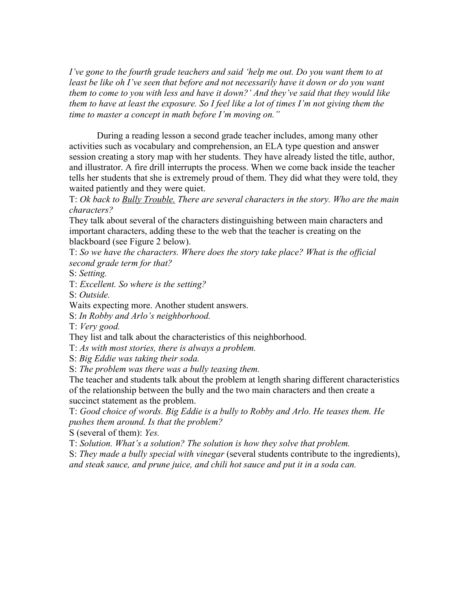*I've gone to the fourth grade teachers and said 'help me out. Do you want them to at least be like oh I've seen that before and not necessarily have it down or do you want them to come to you with less and have it down?' And they've said that they would like them to have at least the exposure. So I feel like a lot of times I'm not giving them the time to master a concept in math before I'm moving on."*

During a reading lesson a second grade teacher includes, among many other activities such as vocabulary and comprehension, an ELA type question and answer session creating a story map with her students. They have already listed the title, author, and illustrator. A fire drill interrupts the process. When we come back inside the teacher tells her students that she is extremely proud of them. They did what they were told, they waited patiently and they were quiet.

T: *Ok back to Bully Trouble. There are several characters in the story. Who are the main characters?*

They talk about several of the characters distinguishing between main characters and important characters, adding these to the web that the teacher is creating on the blackboard (see Figure 2 below).

T: *So we have the characters. Where does the story take place? What is the official second grade term for that?*

S: *Setting.*

T: *Excellent. So where is the setting?*

S: *Outside.*

Waits expecting more. Another student answers.

S: *In Robby and Arlo's neighborhood.*

T: *Very good.*

They list and talk about the characteristics of this neighborhood.

T: *As with most stories, there is always a problem.*

S: *Big Eddie was taking their soda.*

S: *The problem was there was a bully teasing them.*

The teacher and students talk about the problem at length sharing different characteristics of the relationship between the bully and the two main characters and then create a succinct statement as the problem.

T: *Good choice of words. Big Eddie is a bully to Robby and Arlo. He teases them. He pushes them around. Is that the problem?*

S (several of them): *Yes.*

T: *Solution. What's a solution? The solution is how they solve that problem.*

S: *They made a bully special with vinegar* (several students contribute to the ingredients), *and steak sauce, and prune juice, and chili hot sauce and put it in a soda can.*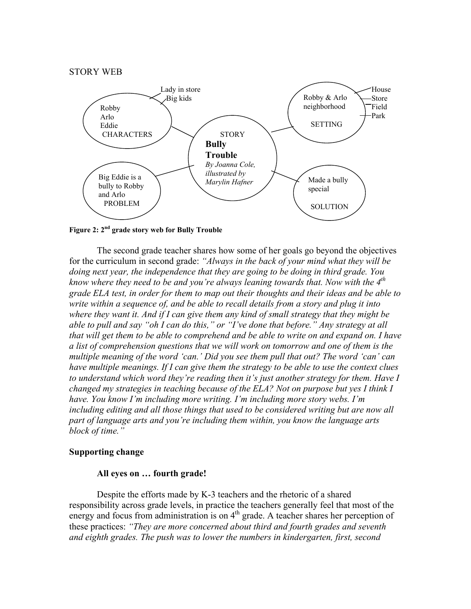

**Figure 2: 2nd grade story web for Bully Trouble**

The second grade teacher shares how some of her goals go beyond the objectives for the curriculum in second grade: *"Always in the back of your mind what they will be doing next year, the independence that they are going to be doing in third grade. You know where they need to be and you're always leaning towards that. Now with the 4th grade ELA test, in order for them to map out their thoughts and their ideas and be able to write within a sequence of, and be able to recall details from a story and plug it into where they want it. And if I can give them any kind of small strategy that they might be able to pull and say "oh I can do this," or "I've done that before." Any strategy at all that will get them to be able to comprehend and be able to write on and expand on. I have a list of comprehension questions that we will work on tomorrow and one of them is the multiple meaning of the word 'can.' Did you see them pull that out? The word 'can' can have multiple meanings. If I can give them the strategy to be able to use the context clues to understand which word they're reading then it's just another strategy for them. Have I changed my strategies in teaching because of the ELA? Not on purpose but yes I think I have. You know I'm including more writing. I'm including more story webs. I'm including editing and all those things that used to be considered writing but are now all part of language arts and you're including them within, you know the language arts block of time."*

# **Supporting change**

# **All eyes on … fourth grade!**

Despite the efforts made by K-3 teachers and the rhetoric of a shared responsibility across grade levels, in practice the teachers generally feel that most of the energy and focus from administration is on  $4<sup>th</sup>$  grade. A teacher shares her perception of these practices: *"They are more concerned about third and fourth grades and seventh and eighth grades. The push was to lower the numbers in kindergarten, first, second*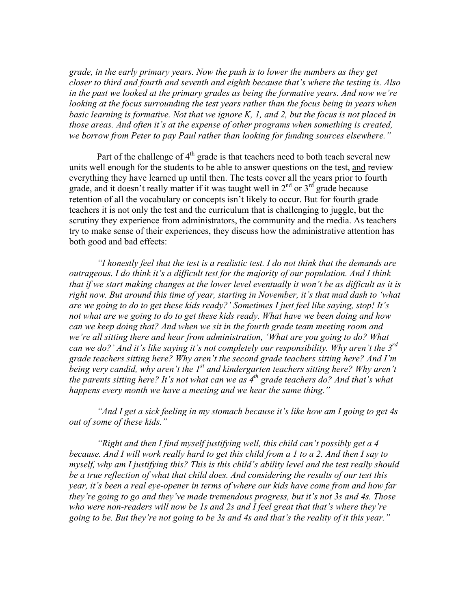*grade, in the early primary years. Now the push is to lower the numbers as they get closer to third and fourth and seventh and eighth because that's where the testing is. Also in the past we looked at the primary grades as being the formative years. And now we're looking at the focus surrounding the test years rather than the focus being in years when basic learning is formative. Not that we ignore K, 1, and 2, but the focus is not placed in those areas. And often it's at the expense of other programs when something is created, we borrow from Peter to pay Paul rather than looking for funding sources elsewhere."*

Part of the challenge of  $4<sup>th</sup>$  grade is that teachers need to both teach several new units well enough for the students to be able to answer questions on the test, and review everything they have learned up until then. The tests cover all the years prior to fourth grade, and it doesn't really matter if it was taught well in  $2^{nd}$  or  $3^{rd}$  grade because retention of all the vocabulary or concepts isn't likely to occur. But for fourth grade teachers it is not only the test and the curriculum that is challenging to juggle, but the scrutiny they experience from administrators, the community and the media. As teachers try to make sense of their experiences, they discuss how the administrative attention has both good and bad effects:

*"I honestly feel that the test is a realistic test. I do not think that the demands are outrageous. I do think it's a difficult test for the majority of our population. And I think that if we start making changes at the lower level eventually it won't be as difficult as it is right now. But around this time of year, starting in November, it's that mad dash to 'what are we going to do to get these kids ready?' Sometimes I just feel like saying, stop! It's not what are we going to do to get these kids ready. What have we been doing and how can we keep doing that? And when we sit in the fourth grade team meeting room and we're all sitting there and hear from administration, 'What are you going to do? What can we do?' And it's like saying it's not completely our responsibility. Why aren't the 3rd grade teachers sitting here? Why aren't the second grade teachers sitting here? And I'm being very candid, why aren't the 1st and kindergarten teachers sitting here? Why aren't the parents sitting here? It's not what can we as 4<sup>th</sup> grade teachers do? And that's what happens every month we have a meeting and we hear the same thing."*

*"And I get a sick feeling in my stomach because it's like how am I going to get 4s out of some of these kids."*

*"Right and then I find myself justifying well, this child can't possibly get a 4 because. And I will work really hard to get this child from a 1 to a 2. And then I say to myself, why am I justifying this? This is this child's ability level and the test really should be a true reflection of what that child does. And considering the results of our test this year, it's been a real eye-opener in terms of where our kids have come from and how far they're going to go and they've made tremendous progress, but it's not 3s and 4s. Those who were non-readers will now be 1s and 2s and I feel great that that's where they're going to be. But they're not going to be 3s and 4s and that's the reality of it this year."*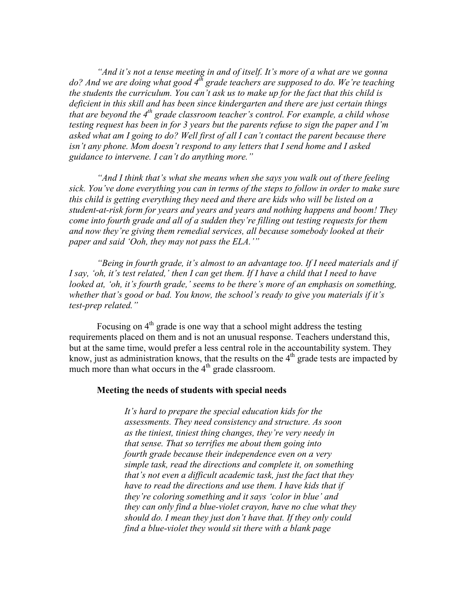*"And it's not a tense meeting in and of itself. It's more of a what are we gonna* do? And we are doing what good 4<sup>th</sup> grade teachers are supposed to do. We're teaching *the students the curriculum. You can't ask us to make up for the fact that this child is deficient in this skill and has been since kindergarten and there are just certain things that are beyond the 4<sup>th</sup> grade classroom teacher's control. For example, a child whose testing request has been in for 3 years but the parents refuse to sign the paper and I'm asked what am I going to do? Well first of all I can't contact the parent because there isn't any phone. Mom doesn't respond to any letters that I send home and I asked guidance to intervene. I can't do anything more."*

*"And I think that's what she means when she says you walk out of there feeling sick. You've done everything you can in terms of the steps to follow in order to make sure this child is getting everything they need and there are kids who will be listed on a student-at-risk form for years and years and years and nothing happens and boom! They come into fourth grade and all of a sudden they're filling out testing requests for them and now they're giving them remedial services, all because somebody looked at their paper and said 'Ooh, they may not pass the ELA.'"*

*"Being in fourth grade, it's almost to an advantage too. If I need materials and if I say, 'oh, it's test related,' then I can get them. If I have a child that I need to have looked at, 'oh, it's fourth grade,' seems to be there's more of an emphasis on something, whether that's good or bad. You know, the school's ready to give you materials if it's test-prep related."*

Focusing on  $4<sup>th</sup>$  grade is one way that a school might address the testing requirements placed on them and is not an unusual response. Teachers understand this, but at the same time, would prefer a less central role in the accountability system. They know, just as administration knows, that the results on the  $4<sup>th</sup>$  grade tests are impacted by much more than what occurs in the  $4<sup>th</sup>$  grade classroom.

# **Meeting the needs of students with special needs**

*It's hard to prepare the special education kids for the assessments. They need consistency and structure. As soon as the tiniest, tiniest thing changes, they're very needy in that sense. That so terrifies me about them going into fourth grade because their independence even on a very simple task, read the directions and complete it, on something that's not even a difficult academic task, just the fact that they have to read the directions and use them. I have kids that if they're coloring something and it says 'color in blue' and they can only find a blue-violet crayon, have no clue what they should do. I mean they just don't have that. If they only could find a blue-violet they would sit there with a blank page*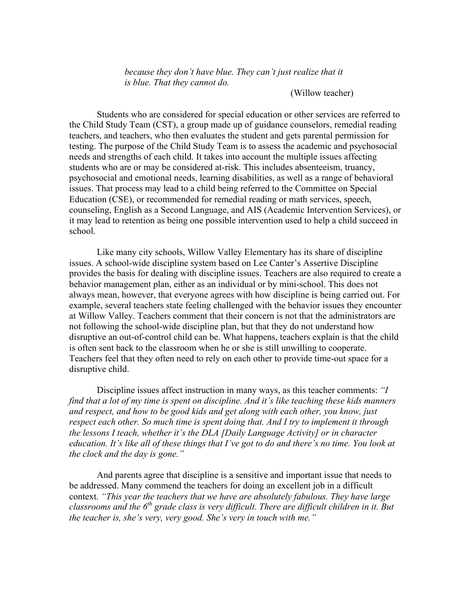*because they don't have blue. They can't just realize that it is blue. That they cannot do.*

# (Willow teacher)

Students who are considered for special education or other services are referred to the Child Study Team (CST), a group made up of guidance counselors, remedial reading teachers, and teachers, who then evaluates the student and gets parental permission for testing. The purpose of the Child Study Team is to assess the academic and psychosocial needs and strengths of each child. It takes into account the multiple issues affecting students who are or may be considered at-risk. This includes absenteeism, truancy, psychosocial and emotional needs, learning disabilities, as well as a range of behavioral issues. That process may lead to a child being referred to the Committee on Special Education (CSE), or recommended for remedial reading or math services, speech, counseling, English as a Second Language, and AIS (Academic Intervention Services), or it may lead to retention as being one possible intervention used to help a child succeed in school.

Like many city schools, Willow Valley Elementary has its share of discipline issues. A school-wide discipline system based on Lee Canter's Assertive Discipline provides the basis for dealing with discipline issues. Teachers are also required to create a behavior management plan, either as an individual or by mini-school. This does not always mean, however, that everyone agrees with how discipline is being carried out. For example, several teachers state feeling challenged with the behavior issues they encounter at Willow Valley. Teachers comment that their concern is not that the administrators are not following the school-wide discipline plan, but that they do not understand how disruptive an out-of-control child can be. What happens, teachers explain is that the child is often sent back to the classroom when he or she is still unwilling to cooperate. Teachers feel that they often need to rely on each other to provide time-out space for a disruptive child.

Discipline issues affect instruction in many ways, as this teacher comments: *"I find that a lot of my time is spent on discipline. And it's like teaching these kids manners and respect, and how to be good kids and get along with each other, you know, just respect each other. So much time is spent doing that. And I try to implement it through the lessons I teach, whether it's the DLA [Daily Language Activity] or in character education. It's like all of these things that I've got to do and there's no time. You look at the clock and the day is gone."*

And parents agree that discipline is a sensitive and important issue that needs to be addressed. Many commend the teachers for doing an excellent job in a difficult context. *"This year the teachers that we have are absolutely fabulous. They have large classrooms and the 6th grade class is very difficult. There are difficult children in it. But the teacher is, she's very, very good. She's very in touch with me."*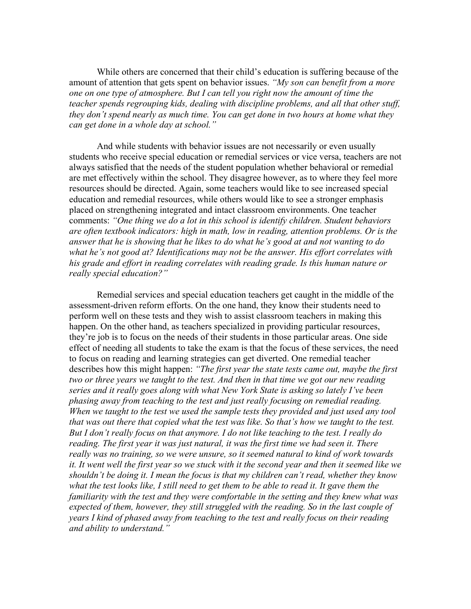While others are concerned that their child's education is suffering because of the amount of attention that gets spent on behavior issues. *"My son can benefit from a more one on one type of atmosphere. But I can tell you right now the amount of time the teacher spends regrouping kids, dealing with discipline problems, and all that other stuff, they don't spend nearly as much time. You can get done in two hours at home what they can get done in a whole day at school."*

And while students with behavior issues are not necessarily or even usually students who receive special education or remedial services or vice versa, teachers are not always satisfied that the needs of the student population whether behavioral or remedial are met effectively within the school. They disagree however, as to where they feel more resources should be directed. Again, some teachers would like to see increased special education and remedial resources, while others would like to see a stronger emphasis placed on strengthening integrated and intact classroom environments. One teacher comments: *"One thing we do a lot in this school is identify children. Student behaviors are often textbook indicators: high in math, low in reading, attention problems. Or is the answer that he is showing that he likes to do what he's good at and not wanting to do what he's not good at? Identifications may not be the answer. His effort correlates with his grade and effort in reading correlates with reading grade. Is this human nature or really special education?"*

Remedial services and special education teachers get caught in the middle of the assessment-driven reform efforts. On the one hand, they know their students need to perform well on these tests and they wish to assist classroom teachers in making this happen. On the other hand, as teachers specialized in providing particular resources, they're job is to focus on the needs of their students in those particular areas. One side effect of needing all students to take the exam is that the focus of these services, the need to focus on reading and learning strategies can get diverted. One remedial teacher describes how this might happen: *"The first year the state tests came out, maybe the first two or three years we taught to the test. And then in that time we got our new reading series and it really goes along with what New York State is asking so lately I've been phasing away from teaching to the test and just really focusing on remedial reading. When we taught to the test we used the sample tests they provided and just used any tool that was out there that copied what the test was like. So that's how we taught to the test. But I don't really focus on that anymore. I do not like teaching to the test. I really do reading. The first year it was just natural, it was the first time we had seen it. There really was no training, so we were unsure, so it seemed natural to kind of work towards it. It went well the first year so we stuck with it the second year and then it seemed like we shouldn't be doing it. I mean the focus is that my children can't read, whether they know what the test looks like, I still need to get them to be able to read it. It gave them the familiarity with the test and they were comfortable in the setting and they knew what was expected of them, however, they still struggled with the reading. So in the last couple of years I kind of phased away from teaching to the test and really focus on their reading and ability to understand."*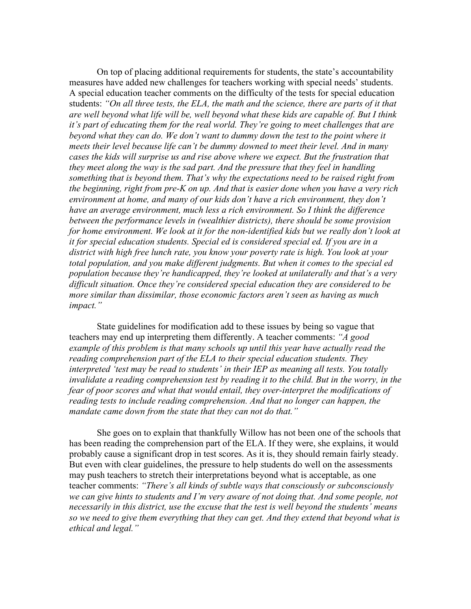On top of placing additional requirements for students, the state's accountability measures have added new challenges for teachers working with special needs' students. A special education teacher comments on the difficulty of the tests for special education students: *"On all three tests, the ELA, the math and the science, there are parts of it that are well beyond what life will be, well beyond what these kids are capable of. But I think it's part of educating them for the real world. They're going to meet challenges that are beyond what they can do. We don't want to dummy down the test to the point where it meets their level because life can't be dummy downed to meet their level. And in many cases the kids will surprise us and rise above where we expect. But the frustration that they meet along the way is the sad part. And the pressure that they feel in handling something that is beyond them. That's why the expectations need to be raised right from the beginning, right from pre-K on up. And that is easier done when you have a very rich environment at home, and many of our kids don't have a rich environment, they don't have an average environment, much less a rich environment. So I think the difference between the performance levels in (wealthier districts), there should be some provision for home environment. We look at it for the non-identified kids but we really don't look at it for special education students. Special ed is considered special ed. If you are in a district with high free lunch rate, you know your poverty rate is high. You look at your total population, and you make different judgments. But when it comes to the special ed population because they're handicapped, they're looked at unilaterally and that's a very difficult situation. Once they're considered special education they are considered to be more similar than dissimilar, those economic factors aren't seen as having as much impact."*

State guidelines for modification add to these issues by being so vague that teachers may end up interpreting them differently. A teacher comments: *"A good example of this problem is that many schools up until this year have actually read the reading comprehension part of the ELA to their special education students. They interpreted 'test may be read to students' in their IEP as meaning all tests. You totally invalidate a reading comprehension test by reading it to the child. But in the worry, in the fear of poor scores and what that would entail, they over-interpret the modifications of reading tests to include reading comprehension. And that no longer can happen, the mandate came down from the state that they can not do that."*

She goes on to explain that thankfully Willow has not been one of the schools that has been reading the comprehension part of the ELA. If they were, she explains, it would probably cause a significant drop in test scores. As it is, they should remain fairly steady. But even with clear guidelines, the pressure to help students do well on the assessments may push teachers to stretch their interpretations beyond what is acceptable, as one teacher comments: *"There's all kinds of subtle ways that consciously or subconsciously we can give hints to students and I'm very aware of not doing that. And some people, not necessarily in this district, use the excuse that the test is well beyond the students' means so we need to give them everything that they can get. And they extend that beyond what is ethical and legal."*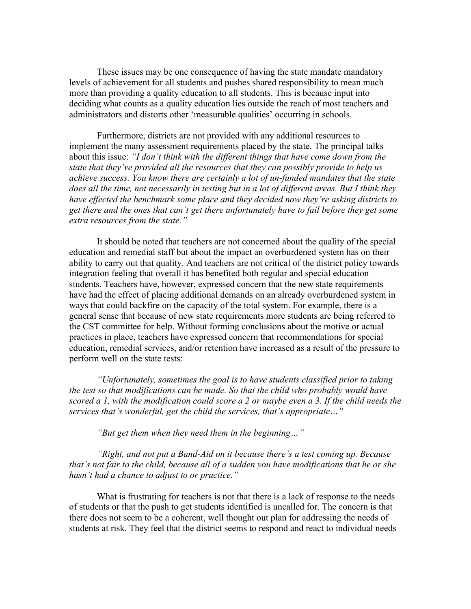These issues may be one consequence of having the state mandate mandatory levels of achievement for all students and pushes shared responsibility to mean much more than providing a quality education to all students. This is because input into deciding what counts as a quality education lies outside the reach of most teachers and administrators and distorts other 'measurable qualities' occurring in schools.

Furthermore, districts are not provided with any additional resources to implement the many assessment requirements placed by the state. The principal talks about this issue: *"I don't think with the different things that have come down from the state that they've provided all the resources that they can possibly provide to help us achieve success. You know there are certainly a lot of un-funded mandates that the state does all the time, not necessarily in testing but in a lot of different areas. But I think they have effected the benchmark some place and they decided now they're asking districts to get there and the ones that can't get there unfortunately have to fail before they get some extra resources from the state."*

It should be noted that teachers are not concerned about the quality of the special education and remedial staff but about the impact an overburdened system has on their ability to carry out that quality. And teachers are not critical of the district policy towards integration feeling that overall it has benefited both regular and special education students. Teachers have, however, expressed concern that the new state requirements have had the effect of placing additional demands on an already overburdened system in ways that could backfire on the capacity of the total system. For example, there is a general sense that because of new state requirements more students are being referred to the CST committee for help. Without forming conclusions about the motive or actual practices in place, teachers have expressed concern that recommendations for special education, remedial services, and/or retention have increased as a result of the pressure to perform well on the state tests:

*"Unfortunately, sometimes the goal is to have students classified prior to taking the test so that modifications can be made. So that the child who probably would have scored a 1, with the modification could score a 2 or maybe even a 3. If the child needs the services that's wonderful, get the child the services, that's appropriate…"*

*"But get them when they need them in the beginning…"*

*"Right, and not put a Band-Aid on it because there's a test coming up. Because that's not fair to the child, because all of a sudden you have modifications that he or she hasn't had a chance to adjust to or practice."*

What is frustrating for teachers is not that there is a lack of response to the needs of students or that the push to get students identified is uncalled for. The concern is that there does not seem to be a coherent, well thought out plan for addressing the needs of students at risk. They feel that the district seems to respond and react to individual needs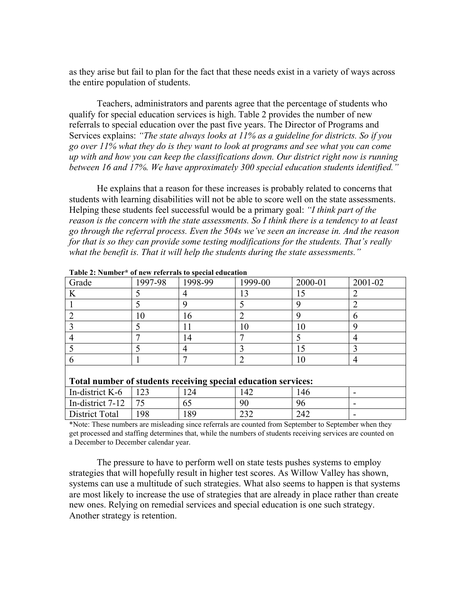as they arise but fail to plan for the fact that these needs exist in a variety of ways across the entire population of students.

Teachers, administrators and parents agree that the percentage of students who qualify for special education services is high. Table 2 provides the number of new referrals to special education over the past five years. The Director of Programs and Services explains: *"The state always looks at 11% as a guideline for districts. So if you go over 11% what they do is they want to look at programs and see what you can come up with and how you can keep the classifications down. Our district right now is running between 16 and 17%. We have approximately 300 special education students identified."*

He explains that a reason for these increases is probably related to concerns that students with learning disabilities will not be able to score well on the state assessments. Helping these students feel successful would be a primary goal: *"I think part of the reason is the concern with the state assessments. So I think there is a tendency to at least go through the referral process. Even the 504s we've seen an increase in. And the reason for that is so they can provide some testing modifications for the students. That's really what the benefit is. That it will help the students during the state assessments."*

| Grade                                                          | 1997-98 | 1998-99 | 1999-00 | 2000-01 | 2001-02 |
|----------------------------------------------------------------|---------|---------|---------|---------|---------|
|                                                                |         |         |         | L5      |         |
|                                                                |         |         |         |         |         |
|                                                                | 10      | 16      |         |         |         |
|                                                                |         |         | 10      | 10      |         |
|                                                                |         | 14      |         |         |         |
|                                                                |         |         |         | 15      |         |
|                                                                |         |         |         | 10      |         |
| Total number of students receiving special education services: |         |         |         |         |         |

**Table 2: Number\* of new referrals to special education**

District Total | 198 | 189 | 232 | 242 \*Note: These numbers are misleading since referrals are counted from September to September when they get processed and staffing determines that, while the numbers of students receiving services are counted on a December to December calendar year.

In-district K-6 123 124 142 146 - In-district 7-12 | 75 | 65 | 90 | 96 | -

The pressure to have to perform well on state tests pushes systems to employ strategies that will hopefully result in higher test scores. As Willow Valley has shown, systems can use a multitude of such strategies. What also seems to happen is that systems are most likely to increase the use of strategies that are already in place rather than create new ones. Relying on remedial services and special education is one such strategy. Another strategy is retention.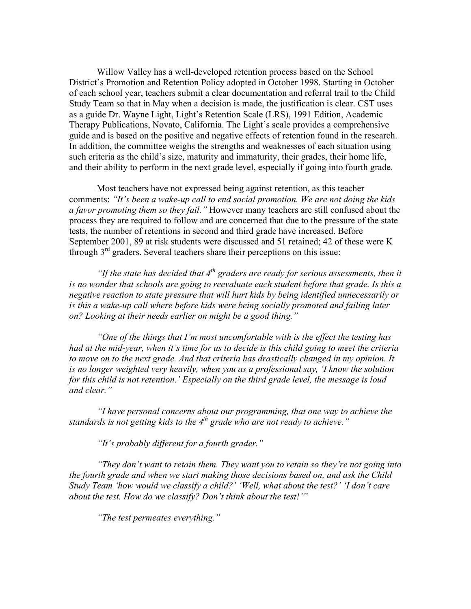Willow Valley has a well-developed retention process based on the School District's Promotion and Retention Policy adopted in October 1998. Starting in October of each school year, teachers submit a clear documentation and referral trail to the Child Study Team so that in May when a decision is made, the justification is clear. CST uses as a guide Dr. Wayne Light, Light's Retention Scale (LRS), 1991 Edition, Academic Therapy Publications, Novato, California. The Light's scale provides a comprehensive guide and is based on the positive and negative effects of retention found in the research. In addition, the committee weighs the strengths and weaknesses of each situation using such criteria as the child's size, maturity and immaturity, their grades, their home life, and their ability to perform in the next grade level, especially if going into fourth grade.

Most teachers have not expressed being against retention, as this teacher comments: *"It's been a wake-up call to end social promotion. We are not doing the kids a favor promoting them so they fail."* However many teachers are still confused about the process they are required to follow and are concerned that due to the pressure of the state tests, the number of retentions in second and third grade have increased. Before September 2001, 89 at risk students were discussed and 51 retained; 42 of these were K through 3<sup>rd</sup> graders. Several teachers share their perceptions on this issue:

*"If the state has decided that 4th graders are ready for serious assessments, then it is no wonder that schools are going to reevaluate each student before that grade. Is this a negative reaction to state pressure that will hurt kids by being identified unnecessarily or is this a wake-up call where before kids were being socially promoted and failing later on? Looking at their needs earlier on might be a good thing."*

*"One of the things that I'm most uncomfortable with is the effect the testing has had at the mid-year, when it's time for us to decide is this child going to meet the criteria to move on to the next grade. And that criteria has drastically changed in my opinion. It is no longer weighted very heavily, when you as a professional say, 'I know the solution for this child is not retention.' Especially on the third grade level, the message is loud and clear."*

*"I have personal concerns about our programming, that one way to achieve the standards is not getting kids to the 4th grade who are not ready to achieve."*

*"It's probably different for a fourth grader."*

*"They don't want to retain them. They want you to retain so they're not going into the fourth grade and when we start making those decisions based on, and ask the Child Study Team 'how would we classify a child?' 'Well, what about the test?' 'I don't care about the test. How do we classify? Don't think about the test!'"*

*"The test permeates everything."*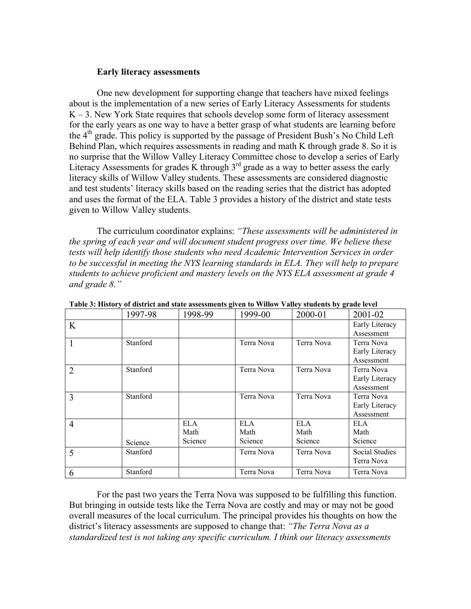# **Early literacy assessments**

One new development for supporting change that teachers have mixed feelings about is the implementation of a new series of Early Literacy Assessments for students  $K - 3$ . New York State requires that schools develop some form of literacy assessment for the early years as one way to have a better grasp of what students are learning before the  $4<sup>th</sup>$  grade. This policy is supported by the passage of President Bush's No Child Left Behind Plan, which requires assessments in reading and math K through grade 8. So it is no surprise that the Willow Valley Literacy Committee chose to develop a series of Early Literacy Assessments for grades K through  $3<sup>rd</sup>$  grade as a way to better assess the early literacy skills of Willow Valley students. These assessments are considered diagnostic and test students' literacy skills based on the reading series that the district has adopted and uses the format of the ELA. Table 3 provides a history of the district and state tests given to Willow Valley students.

The curriculum coordinator explains: *"These assessments will be administered in the spring of each year and will document student progress over time. We believe these tests will help identify those students who need Academic Intervention Services in order to be successful in meeting the NYS learning standards in ELA. They will help to prepare students to achieve proficient and mastery levels on the NYS ELA assessment at grade 4 and grade 8."*

|                | 1997-98  | $\overline{ }$<br>1998-99 | 1999-00    | ັ<br>2000-01 | 2001-02        |
|----------------|----------|---------------------------|------------|--------------|----------------|
| K              |          |                           |            |              | Early Literacy |
|                |          |                           |            |              | Assessment     |
| $\mathbf{1}$   | Stanford |                           | Terra Nova | Terra Nova   | Terra Nova     |
|                |          |                           |            |              | Early Literacy |
|                |          |                           |            |              | Assessment     |
| $\overline{2}$ | Stanford |                           | Terra Nova | Terra Nova   | Terra Nova     |
|                |          |                           |            |              | Early Literacy |
|                |          |                           |            |              | Assessment     |
| 3              | Stanford |                           | Terra Nova | Terra Nova   | Terra Nova     |
|                |          |                           |            |              | Early Literacy |
|                |          |                           |            |              | Assessment     |
| $\overline{4}$ |          | ELA.                      | ELA.       | ELA.         | ELA.           |
|                |          | Math                      | Math       | Math         | Math           |
|                | Science  | Science                   | Science    | Science      | Science        |
| 5              | Stanford |                           | Terra Nova | Terra Nova   | Social Studies |
|                |          |                           |            |              | Terra Nova     |
| 6              | Stanford |                           | Terra Nova | Terra Nova   | Terra Nova     |

**Table 3: History of district and state assessments given to Willow Valley students by grade level**

For the past two years the Terra Nova was supposed to be fulfilling this function. But bringing in outside tests like the Terra Nova are costly and may or may not be good overall measures of the local curriculum. The principal provides his thoughts on how the district's literacy assessments are supposed to change that: *"The Terra Nova as a standardized test is not taking any specific curriculum. I think our literacy assessments*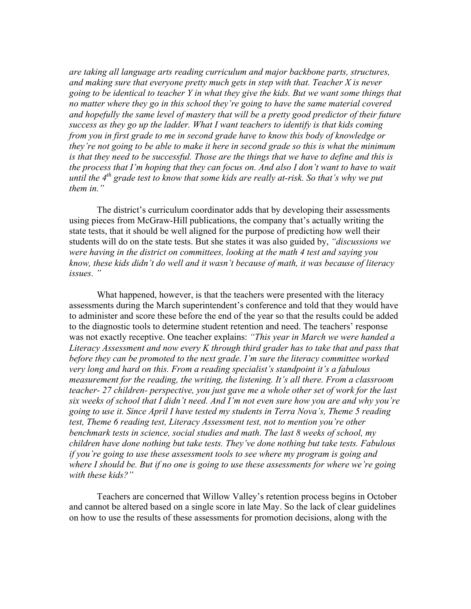*are taking all language arts reading curriculum and major backbone parts, structures, and making sure that everyone pretty much gets in step with that. Teacher X is never going to be identical to teacher Y in what they give the kids. But we want some things that no matter where they go in this school they're going to have the same material covered and hopefully the same level of mastery that will be a pretty good predictor of their future success as they go up the ladder. What I want teachers to identify is that kids coming from you in first grade to me in second grade have to know this body of knowledge or they're not going to be able to make it here in second grade so this is what the minimum is that they need to be successful. Those are the things that we have to define and this is the process that I'm hoping that they can focus on. And also I don't want to have to wait until the 4th grade test to know that some kids are really at-risk. So that's why we put them in."*

The district's curriculum coordinator adds that by developing their assessments using pieces from McGraw-Hill publications, the company that's actually writing the state tests, that it should be well aligned for the purpose of predicting how well their students will do on the state tests. But she states it was also guided by, *"discussions we were having in the district on committees, looking at the math 4 test and saying you know, these kids didn't do well and it wasn't because of math, it was because of literacy issues. "*

What happened, however, is that the teachers were presented with the literacy assessments during the March superintendent's conference and told that they would have to administer and score these before the end of the year so that the results could be added to the diagnostic tools to determine student retention and need. The teachers' response was not exactly receptive. One teacher explains: *"This year in March we were handed a Literacy Assessment and now every K through third grader has to take that and pass that before they can be promoted to the next grade. I'm sure the literacy committee worked very long and hard on this. From a reading specialist's standpoint it's a fabulous measurement for the reading, the writing, the listening. It's all there. From a classroom teacher- 27 children- perspective, you just gave me a whole other set of work for the last six weeks of school that I didn't need. And I'm not even sure how you are and why you're going to use it. Since April I have tested my students in Terra Nova's, Theme 5 reading test, Theme 6 reading test, Literacy Assessment test, not to mention you're other benchmark tests in science, social studies and math. The last 8 weeks of school, my children have done nothing but take tests. They've done nothing but take tests. Fabulous if you're going to use these assessment tools to see where my program is going and where I should be. But if no one is going to use these assessments for where we're going with these kids?"*

Teachers are concerned that Willow Valley's retention process begins in October and cannot be altered based on a single score in late May. So the lack of clear guidelines on how to use the results of these assessments for promotion decisions, along with the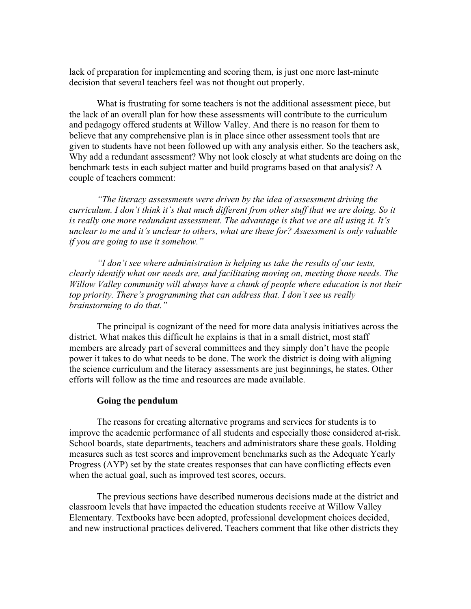lack of preparation for implementing and scoring them, is just one more last-minute decision that several teachers feel was not thought out properly.

What is frustrating for some teachers is not the additional assessment piece, but the lack of an overall plan for how these assessments will contribute to the curriculum and pedagogy offered students at Willow Valley. And there is no reason for them to believe that any comprehensive plan is in place since other assessment tools that are given to students have not been followed up with any analysis either. So the teachers ask, Why add a redundant assessment? Why not look closely at what students are doing on the benchmark tests in each subject matter and build programs based on that analysis? A couple of teachers comment:

*"The literacy assessments were driven by the idea of assessment driving the curriculum. I don't think it's that much different from other stuff that we are doing. So it is really one more redundant assessment. The advantage is that we are all using it. It's unclear to me and it's unclear to others, what are these for? Assessment is only valuable if you are going to use it somehow."*

*"I don't see where administration is helping us take the results of our tests, clearly identify what our needs are, and facilitating moving on, meeting those needs. The Willow Valley community will always have a chunk of people where education is not their top priority. There's programming that can address that. I don't see us really brainstorming to do that."*

The principal is cognizant of the need for more data analysis initiatives across the district. What makes this difficult he explains is that in a small district, most staff members are already part of several committees and they simply don't have the people power it takes to do what needs to be done. The work the district is doing with aligning the science curriculum and the literacy assessments are just beginnings, he states. Other efforts will follow as the time and resources are made available.

#### **Going the pendulum**

The reasons for creating alternative programs and services for students is to improve the academic performance of all students and especially those considered at-risk. School boards, state departments, teachers and administrators share these goals. Holding measures such as test scores and improvement benchmarks such as the Adequate Yearly Progress (AYP) set by the state creates responses that can have conflicting effects even when the actual goal, such as improved test scores, occurs.

The previous sections have described numerous decisions made at the district and classroom levels that have impacted the education students receive at Willow Valley Elementary. Textbooks have been adopted, professional development choices decided, and new instructional practices delivered. Teachers comment that like other districts they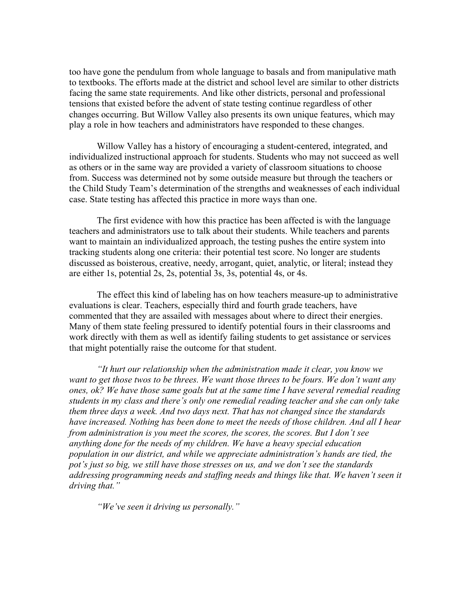too have gone the pendulum from whole language to basals and from manipulative math to textbooks. The efforts made at the district and school level are similar to other districts facing the same state requirements. And like other districts, personal and professional tensions that existed before the advent of state testing continue regardless of other changes occurring. But Willow Valley also presents its own unique features, which may play a role in how teachers and administrators have responded to these changes.

Willow Valley has a history of encouraging a student-centered, integrated, and individualized instructional approach for students. Students who may not succeed as well as others or in the same way are provided a variety of classroom situations to choose from. Success was determined not by some outside measure but through the teachers or the Child Study Team's determination of the strengths and weaknesses of each individual case. State testing has affected this practice in more ways than one.

The first evidence with how this practice has been affected is with the language teachers and administrators use to talk about their students. While teachers and parents want to maintain an individualized approach, the testing pushes the entire system into tracking students along one criteria: their potential test score. No longer are students discussed as boisterous, creative, needy, arrogant, quiet, analytic, or literal; instead they are either 1s, potential 2s, 2s, potential 3s, 3s, potential 4s, or 4s.

The effect this kind of labeling has on how teachers measure-up to administrative evaluations is clear. Teachers, especially third and fourth grade teachers, have commented that they are assailed with messages about where to direct their energies. Many of them state feeling pressured to identify potential fours in their classrooms and work directly with them as well as identify failing students to get assistance or services that might potentially raise the outcome for that student.

*"It hurt our relationship when the administration made it clear, you know we want to get those twos to be threes. We want those threes to be fours. We don't want any ones, ok? We have those same goals but at the same time I have several remedial reading students in my class and there's only one remedial reading teacher and she can only take them three days a week. And two days next. That has not changed since the standards have increased. Nothing has been done to meet the needs of those children. And all I hear from administration is you meet the scores, the scores, the scores. But I don't see anything done for the needs of my children. We have a heavy special education population in our district, and while we appreciate administration's hands are tied, the pot's just so big, we still have those stresses on us, and we don't see the standards addressing programming needs and staffing needs and things like that. We haven't seen it driving that."*

*"We've seen it driving us personally."*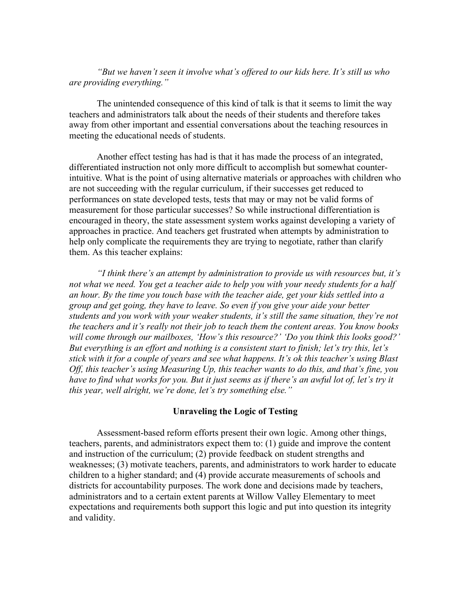*"But we haven't seen it involve what's offered to our kids here. It's still us who are providing everything."*

The unintended consequence of this kind of talk is that it seems to limit the way teachers and administrators talk about the needs of their students and therefore takes away from other important and essential conversations about the teaching resources in meeting the educational needs of students.

Another effect testing has had is that it has made the process of an integrated, differentiated instruction not only more difficult to accomplish but somewhat counterintuitive. What is the point of using alternative materials or approaches with children who are not succeeding with the regular curriculum, if their successes get reduced to performances on state developed tests, tests that may or may not be valid forms of measurement for those particular successes? So while instructional differentiation is encouraged in theory, the state assessment system works against developing a variety of approaches in practice. And teachers get frustrated when attempts by administration to help only complicate the requirements they are trying to negotiate, rather than clarify them. As this teacher explains:

*"I think there's an attempt by administration to provide us with resources but, it's not what we need. You get a teacher aide to help you with your needy students for a half an hour. By the time you touch base with the teacher aide, get your kids settled into a group and get going, they have to leave. So even if you give your aide your better students and you work with your weaker students, it's still the same situation, they're not the teachers and it's really not their job to teach them the content areas. You know books will come through our mailboxes, 'How's this resource?' 'Do you think this looks good?' But everything is an effort and nothing is a consistent start to finish; let's try this, let's stick with it for a couple of years and see what happens. It's ok this teacher's using Blast Off, this teacher's using Measuring Up, this teacher wants to do this, and that's fine, you have to find what works for you. But it just seems as if there's an awful lot of, let's try it this year, well alright, we're done, let's try something else."*

# **Unraveling the Logic of Testing**

Assessment-based reform efforts present their own logic. Among other things, teachers, parents, and administrators expect them to: (1) guide and improve the content and instruction of the curriculum; (2) provide feedback on student strengths and weaknesses; (3) motivate teachers, parents, and administrators to work harder to educate children to a higher standard; and (4) provide accurate measurements of schools and districts for accountability purposes. The work done and decisions made by teachers, administrators and to a certain extent parents at Willow Valley Elementary to meet expectations and requirements both support this logic and put into question its integrity and validity.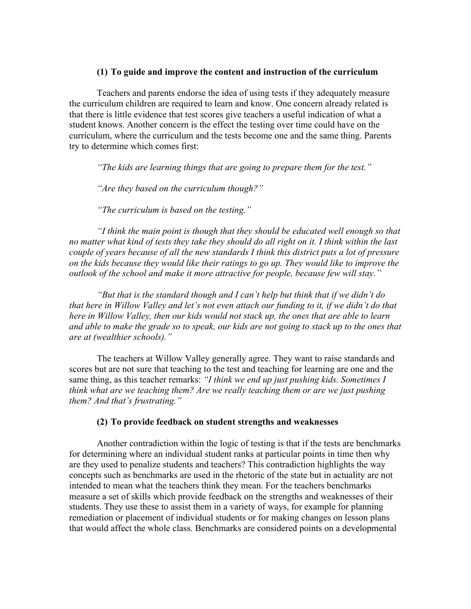# **(1) To guide and improve the content and instruction of the curriculum**

Teachers and parents endorse the idea of using tests if they adequately measure the curriculum children are required to learn and know. One concern already related is that there is little evidence that test scores give teachers a useful indication of what a student knows. Another concern is the effect the testing over time could have on the curriculum, where the curriculum and the tests become one and the same thing. Parents try to determine which comes first:

*"The kids are learning things that are going to prepare them for the test."*

*"Are they based on the curriculum though?"*

*"The curriculum is based on the testing."*

*"I think the main point is though that they should be educated well enough so that no matter what kind of tests they take they should do all right on it. I think within the last couple of years because of all the new standards I think this district puts a lot of pressure on the kids because they would like their ratings to go up. They would like to improve the outlook of the school and make it more attractive for people, because few will stay."*

*"But that is the standard though and I can't help but think that if we didn't do that here in Willow Valley and let's not even attach our funding to it, if we didn't do that here in Willow Valley, then our kids would not stack up, the ones that are able to learn and able to make the grade so to speak, our kids are not going to stack up to the ones that are at (wealthier schools)."*

The teachers at Willow Valley generally agree. They want to raise standards and scores but are not sure that teaching to the test and teaching for learning are one and the same thing, as this teacher remarks: *"I think we end up just pushing kids. Sometimes I think what are we teaching them? Are we really teaching them or are we just pushing them? And that's frustrating."*

# **(2) To provide feedback on student strengths and weaknesses**

Another contradiction within the logic of testing is that if the tests are benchmarks for determining where an individual student ranks at particular points in time then why are they used to penalize students and teachers? This contradiction highlights the way concepts such as benchmarks are used in the rhetoric of the state but in actuality are not intended to mean what the teachers think they mean. For the teachers benchmarks measure a set of skills which provide feedback on the strengths and weaknesses of their students. They use these to assist them in a variety of ways, for example for planning remediation or placement of individual students or for making changes on lesson plans that would affect the whole class. Benchmarks are considered points on a developmental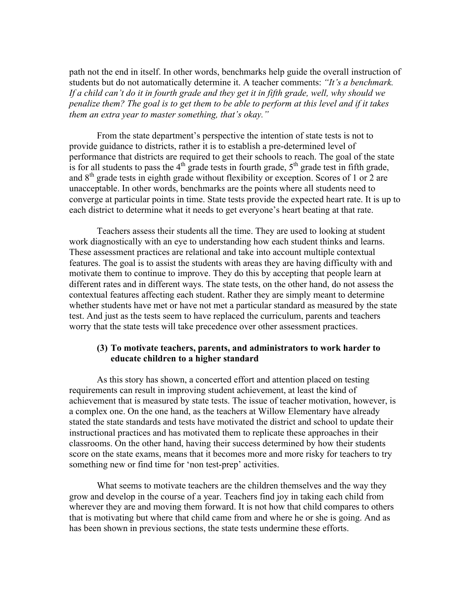path not the end in itself. In other words, benchmarks help guide the overall instruction of students but do not automatically determine it. A teacher comments: *"It's a benchmark. If a child can't do it in fourth grade and they get it in fifth grade, well, why should we penalize them? The goal is to get them to be able to perform at this level and if it takes them an extra year to master something, that's okay."*

From the state department's perspective the intention of state tests is not to provide guidance to districts, rather it is to establish a pre-determined level of performance that districts are required to get their schools to reach. The goal of the state is for all students to pass the  $4<sup>th</sup>$  grade tests in fourth grade,  $5<sup>th</sup>$  grade test in fifth grade, and  $8<sup>th</sup>$  grade tests in eighth grade without flexibility or exception. Scores of 1 or 2 are unacceptable. In other words, benchmarks are the points where all students need to converge at particular points in time. State tests provide the expected heart rate. It is up to each district to determine what it needs to get everyone's heart beating at that rate.

Teachers assess their students all the time. They are used to looking at student work diagnostically with an eye to understanding how each student thinks and learns. These assessment practices are relational and take into account multiple contextual features. The goal is to assist the students with areas they are having difficulty with and motivate them to continue to improve. They do this by accepting that people learn at different rates and in different ways. The state tests, on the other hand, do not assess the contextual features affecting each student. Rather they are simply meant to determine whether students have met or have not met a particular standard as measured by the state test. And just as the tests seem to have replaced the curriculum, parents and teachers worry that the state tests will take precedence over other assessment practices.

# **(3) To motivate teachers, parents, and administrators to work harder to educate children to a higher standard**

As this story has shown, a concerted effort and attention placed on testing requirements can result in improving student achievement, at least the kind of achievement that is measured by state tests. The issue of teacher motivation, however, is a complex one. On the one hand, as the teachers at Willow Elementary have already stated the state standards and tests have motivated the district and school to update their instructional practices and has motivated them to replicate these approaches in their classrooms. On the other hand, having their success determined by how their students score on the state exams, means that it becomes more and more risky for teachers to try something new or find time for 'non test-prep' activities.

What seems to motivate teachers are the children themselves and the way they grow and develop in the course of a year. Teachers find joy in taking each child from wherever they are and moving them forward. It is not how that child compares to others that is motivating but where that child came from and where he or she is going. And as has been shown in previous sections, the state tests undermine these efforts.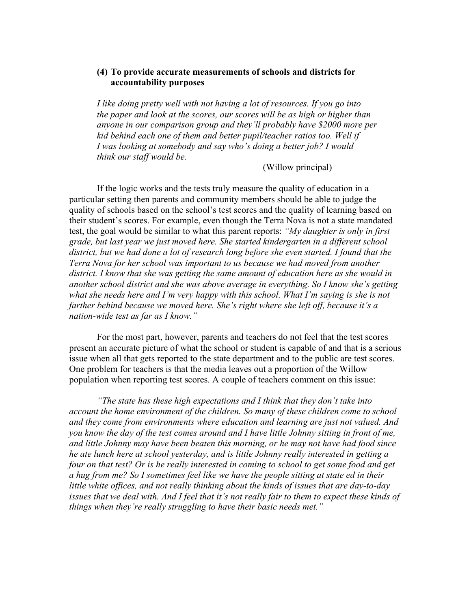# **(4) To provide accurate measurements of schools and districts for accountability purposes**

*I like doing pretty well with not having a lot of resources. If you go into the paper and look at the scores, our scores will be as high or higher than anyone in our comparison group and they'll probably have \$2000 more per kid behind each one of them and better pupil/teacher ratios too. Well if I was looking at somebody and say who's doing a better job? I would think our staff would be.*

(Willow principal)

If the logic works and the tests truly measure the quality of education in a particular setting then parents and community members should be able to judge the quality of schools based on the school's test scores and the quality of learning based on their student's scores. For example, even though the Terra Nova is not a state mandated test, the goal would be similar to what this parent reports: *"My daughter is only in first grade, but last year we just moved here. She started kindergarten in a different school district, but we had done a lot of research long before she even started. I found that the Terra Nova for her school was important to us because we had moved from another district. I know that she was getting the same amount of education here as she would in another school district and she was above average in everything. So I know she's getting what she needs here and I'm very happy with this school. What I'm saying is she is not farther behind because we moved here. She's right where she left off, because it's a nation-wide test as far as I know."*

For the most part, however, parents and teachers do not feel that the test scores present an accurate picture of what the school or student is capable of and that is a serious issue when all that gets reported to the state department and to the public are test scores. One problem for teachers is that the media leaves out a proportion of the Willow population when reporting test scores. A couple of teachers comment on this issue:

*"The state has these high expectations and I think that they don't take into account the home environment of the children. So many of these children come to school and they come from environments where education and learning are just not valued. And you know the day of the test comes around and I have little Johnny sitting in front of me, and little Johnny may have been beaten this morning, or he may not have had food since he ate lunch here at school yesterday, and is little Johnny really interested in getting a four on that test? Or is he really interested in coming to school to get some food and get a hug from me? So I sometimes feel like we have the people sitting at state ed in their little white offices, and not really thinking about the kinds of issues that are day-to-day issues that we deal with. And I feel that it's not really fair to them to expect these kinds of things when they're really struggling to have their basic needs met."*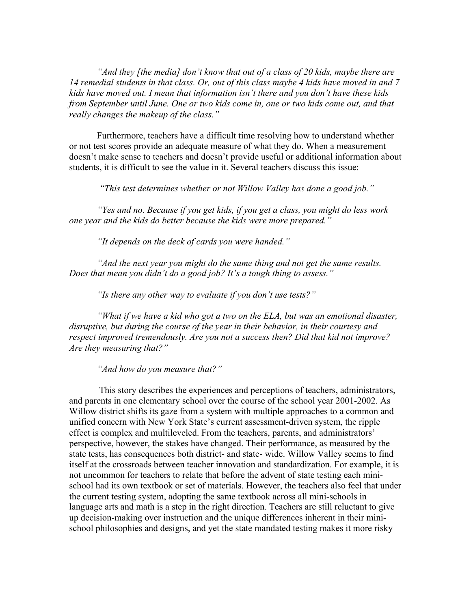*"And they [the media] don't know that out of a class of 20 kids, maybe there are 14 remedial students in that class. Or, out of this class maybe 4 kids have moved in and 7 kids have moved out. I mean that information isn't there and you don't have these kids from September until June. One or two kids come in, one or two kids come out, and that really changes the makeup of the class."*

Furthermore, teachers have a difficult time resolving how to understand whether or not test scores provide an adequate measure of what they do. When a measurement doesn't make sense to teachers and doesn't provide useful or additional information about students, it is difficult to see the value in it. Several teachers discuss this issue:

 *"This test determines whether or not Willow Valley has done a good job."*

*"Yes and no. Because if you get kids, if you get a class, you might do less work one year and the kids do better because the kids were more prepared."*

*"It depends on the deck of cards you were handed."*

*"And the next year you might do the same thing and not get the same results. Does that mean you didn't do a good job? It's a tough thing to assess."*

*"Is there any other way to evaluate if you don't use tests?"*

*"What if we have a kid who got a two on the ELA, but was an emotional disaster, disruptive, but during the course of the year in their behavior, in their courtesy and respect improved tremendously. Are you not a success then? Did that kid not improve? Are they measuring that?"*

*"And how do you measure that?"*

This story describes the experiences and perceptions of teachers, administrators, and parents in one elementary school over the course of the school year 2001-2002. As Willow district shifts its gaze from a system with multiple approaches to a common and unified concern with New York State's current assessment-driven system, the ripple effect is complex and multileveled. From the teachers, parents, and administrators' perspective, however, the stakes have changed. Their performance, as measured by the state tests, has consequences both district- and state- wide. Willow Valley seems to find itself at the crossroads between teacher innovation and standardization. For example, it is not uncommon for teachers to relate that before the advent of state testing each minischool had its own textbook or set of materials. However, the teachers also feel that under the current testing system, adopting the same textbook across all mini-schools in language arts and math is a step in the right direction. Teachers are still reluctant to give up decision-making over instruction and the unique differences inherent in their minischool philosophies and designs, and yet the state mandated testing makes it more risky